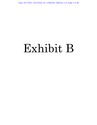Case: 20-73750, 12/21/2020, ID: 11936705, DktEntry: 1-8, Page 1 of 39

# Exhibit B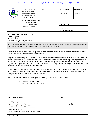#### Case: 20-73750, 12/21/2020, ID: 11936705, DktEntry: 1-8, Page 2 of 39

| <b>STATED STATE</b><br>U.S. ENVIRONMENTAL PROTECTION AGENCY<br>Office of Pesticide Programs<br>Registration Division (7505P)<br>1200 Pennsylvania Ave., N.W.<br>4L PROT<br>Washington, D.C. 20460                                                                                                                                                                                                                                                                                                                                                                                                                                                                                                                                                                                                                                                                                                                                                                                                                                                                                                                                                                                                                                                                                                                                                                                                                                                                                                                                                                                                                                                          | <b>EPA Reg. Number:</b><br>7969-472       | Date of Issuance:<br>10/27/20 |  |
|------------------------------------------------------------------------------------------------------------------------------------------------------------------------------------------------------------------------------------------------------------------------------------------------------------------------------------------------------------------------------------------------------------------------------------------------------------------------------------------------------------------------------------------------------------------------------------------------------------------------------------------------------------------------------------------------------------------------------------------------------------------------------------------------------------------------------------------------------------------------------------------------------------------------------------------------------------------------------------------------------------------------------------------------------------------------------------------------------------------------------------------------------------------------------------------------------------------------------------------------------------------------------------------------------------------------------------------------------------------------------------------------------------------------------------------------------------------------------------------------------------------------------------------------------------------------------------------------------------------------------------------------------------|-------------------------------------------|-------------------------------|--|
| <b>NOTICE OF PESTICIDE:</b><br>$X$ Registration<br>Reregistration<br>(under FIFRA, as amended)                                                                                                                                                                                                                                                                                                                                                                                                                                                                                                                                                                                                                                                                                                                                                                                                                                                                                                                                                                                                                                                                                                                                                                                                                                                                                                                                                                                                                                                                                                                                                             | <b>Term of Issuance:</b><br>Unconditional |                               |  |
|                                                                                                                                                                                                                                                                                                                                                                                                                                                                                                                                                                                                                                                                                                                                                                                                                                                                                                                                                                                                                                                                                                                                                                                                                                                                                                                                                                                                                                                                                                                                                                                                                                                            | <b>Name of Pesticide Product:</b>         |                               |  |
| Engenia Herbicide<br>Name and Address of Registrant (include ZIP Code):<br><b>BASF</b> Corporation<br>26 Davis Drive<br>Research Triangle Park, NC 27709<br>Note: Changes in labeling differing in substance from that accepted in connection with this registration must be submitted to and accepted by the Registration Division prior to use<br>of the label in commerce. In any correspondence on this product always refer to the above EPA registration number.<br>On the basis of information furnished by the registrant, the above named pesticide is hereby registered under the<br>Federal Insecticide, Fungicide and Rodenticide Act.<br>Registration is in no way to be construed as an endorsement or recommendation of this product by the Agency. In<br>order to protect health and the environment, the Administrator, on his motion, may at any time suspend or cancel<br>the registration of a pesticide in accordance with the Act. The acceptance of any name in connection with the<br>registration of a product under this Act is not to be construed as giving the registrant a right to exclusive use of the<br>name or to its use if it has been covered by others.<br>If these terms outlined below are not complied with, the registration will be subject to cancellation in accordance<br>with FIFRA section 6. Your release for shipment of the product constitutes acceptance of these conditions. A<br>stamped copy of the label is enclosed for your records.<br>Please also note that the record for this product currently contains the following CSFs:<br>Basic CSF dated 7/1/2020<br>Alternate CSF 1 dated 7/1/2020 |                                           |                               |  |
| <b>Signature of Approving Official:</b>                                                                                                                                                                                                                                                                                                                                                                                                                                                                                                                                                                                                                                                                                                                                                                                                                                                                                                                                                                                                                                                                                                                                                                                                                                                                                                                                                                                                                                                                                                                                                                                                                    | Date:                                     |                               |  |
|                                                                                                                                                                                                                                                                                                                                                                                                                                                                                                                                                                                                                                                                                                                                                                                                                                                                                                                                                                                                                                                                                                                                                                                                                                                                                                                                                                                                                                                                                                                                                                                                                                                            | 10/27/20                                  |                               |  |
| Daniel Kenny, Chief<br>Herbicide Branch, Registration Division (7505P)                                                                                                                                                                                                                                                                                                                                                                                                                                                                                                                                                                                                                                                                                                                                                                                                                                                                                                                                                                                                                                                                                                                                                                                                                                                                                                                                                                                                                                                                                                                                                                                     |                                           |                               |  |

EPA Form 8570-6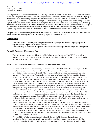Page 2 of 17 EPA Reg. No. 7969-472 Decision No. 564507

Should you wish to add/retain a reference to the company's website on your label, then please be aware that the website becomes labeling under the Federal Insecticide Fungicide and Rodenticide Act and is subject to review by the Agency. If the website is false or misleading, the product would be misbranded and unlawful to sell or distribute under FIFRA section  $12(a)(1)(E)$ . 40 CFR 156.10(a)(5) list examples of statements EPA may consider false or misleading. In addition, regardless of whether a website is referenced on your product's label, claims made on the website may not substantially differ from those claims approved through the registration process. Therefore, should the Agency find or if it is brought to our attention that a website contains false or misleading statements or claims substantially differing from the EPA approved registration, the website will be referred to the EPA's Office of Enforcement and Compliance Assurance.

This product is unconditionally registered in accordance with FIFRA section 3(c)(5) provided that you comply with the terms listed below. This registration will automatically expire on December 20, 2025.

#### *General Terms*

- 1. Submit and/or cite all data required for registration review of your product when the Agency requires all registrants of similar products to submit such data.
- 2. Submit one copy of the revised final printed label for the record before you release the product for shipment.

#### *Herbicide Resistance Management Plan*

3. You must maintain, update and follow an Herbicide Resistance Management Plan (HRM) as described in Appendix D regarding grower agreements, field detection and remediation, education, evaluation, reporting, and best management practices (BMPs).

#### *Tank Mixing, Spray Drift, and Volatility-Reduction Adjuvant Requirements*

- 4. You must maintain a website at www.engeniatankmix.com. That website will include a list of products that have been tested pursuant to Appendix A and found, based upon such testing, not to adversely affect the spray drift properties of Engenia Herbicide. The website will identify a testing protocol, consistent with Appendix A, that is appropriate for determining whether the tested product will adversely affect the drift properties of Engenia Herbicide. The website must state that any person seeking to have a product added to the list of approved tank mix partners must perform a study either pursuant to the testing protocol identified on the website or another protocol that has been approved for the particular purpose by EPA, and must submit the test data and results, along with a certification that the studies were performed either pursuant to the testing protocols identified on the website or pursuant to another protocol(s) approved by EPA and that the results of the testing support adding the product to the list of products tested and found not to adversely affect the spray drift properties of Engenia Herbicide, to BASF. BASF will determine whether the testing and results conform to the conditions prescribed in this protocol and, depending on the test conditions and results, will either post the product on the website at www.engeniatankmix.com or notify the third-party entity that the product did not meet the requirements for posting. Once notified by a third party, you will add appropriately certified products to the list no more than 90 days after you receive such notice. Testing of tank-mix products must be conducted in compliance with procedures as stated forth in Appendix A.
- 5. All test data relating to the impact of tank-mixing any product with Engenia Herbicide on drift properties of Engenia Herbicide generated by you or somebody working for you or submitted to BASF by a third party, along with a certification indicating whether the study was performed either pursuant to the testing protocols identified on the website or pursuant to other protocols approved by EPA and whether the results of the testing support adding the product to the list of products tested and found not to adversely affect the spray drift properties of Engenia Herbicide, must be retained by BASF . Any and all such records must be submitted to the EPA's Office of Pesticide Programs upon request.
- 6. The prohibition of using products in a tank-mix with Engenia Herbicide unless the product used is contained on the list www.engeniatankmix.com, and the identification of the website address, shall be included in educational and information materials developed for BASF , including the materials identified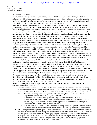Page 3 of 17 EPA Reg. No. 7969-472 Decision No. 564507

in Appendix D, Section B.

- 7. Testing of any volatility-reduction adjuvant (may also be called Volatility Reduction Agent, pH Buffering Adjuvant, or pH Buffering Agent) must be conducted in compliance with procedures as set forth in Appendices A and E. Any potential volatility-reduction adjuvant must demonstrate passing results for both wind tunnel testing as set forth in Appendix A and humidome testing set forth in Appendix E.
- 8. BASF must maintain a volatility-reduction adjuvant tab (again, may also be called Volatility Reduction Agent, pH-Buffering Adjuvant, or pH-Buffering Agent) on the website at www.engeniatankmix.com. The website must identify testing protocols, consistent with Appendices A and E. Products that have been tested pursuant to such testing protocol by BASF and found, based upon such testing, to meet the passing requirements according to Appendices A and E may be added to the list of approved volatility-reduction adjuvant products on the website tab described above. BASF must retain copies of all data and analysis from test performed by, or provided to, BASF based on the Appendix A and E protocols. Upon the Agency's request, copies of such test data and analysis must be submitted to EPA's Office of Pesticide Programs, along with certification indicating whether the study was performed either pursuant to the testing protocols identified on the website or pursuant to other protocols approved by EPA and whether the results of the testing support adding the product(s) to the list of products tested and found to meet the passing requirements of the testing standard in Appendices A and E.
- 9. If a third party requests the addition of a volatility-reduction adjuvant, at the discretion of BASF, the registrant will perform wind tunnel and humidome studies pursuant to the testing protocols in Appendices A and E or request the third-party to perform such studies. Should registrant decline to perform testing, the third-party entity or a testing facility on their behalf must perform a study pursuant to the testing protocol identified on the website and must submit to BASF the test data and results, along with certification that the studies were performed pursuant to the testing protocols identified on the website and that the results of the testing support adding the product to the list of approved volatility-reduction adjuvants for Engenia Herbicide. BASF will determine whether the testing and results conform to the conditions prescribed in the protocols and, depending on the test conditions and results, will either post the product on the website at www.engeniatankmix.com or notify the third-party entity that the product did not meet the requirements for posting. Once notified by a third-party, you will add appropriately certified products to the list no more than 90 days after you receive such notice. BASF will retain records related to this third-party testing and will supply these records to EPA upon their request.
- 10. The requirement that an approved volatility-reduction adjuvant must always be tank-mixed with Engenia Herbicide, and the identification of the website address for www.engeniatankmix.com containing the list of approved volatility-reduction adjuvants shall be included in educational and information materials developed by or for BASF, including materials identified in Appendix D, Section B.
- 11. So long as the Engenia Herbicide registration continues to require use of a volatility-reduction adjuvant with every application, BASF will:
	- a. Take appropriate action(s) to ensure that a sufficient supply of Sentris or any other qualified volatilityreduction adjuvant is in the channels of trade for all Engenia Herbicide applications each year, including quantities of Engenia Herbicide contained in products produced by other registrants. To ensure the supply of qualified volatility-reduction adjuvant is sufficient throughout each season, BASF will:
		- i. Project and monitor distribution of Engenia Herbicide
		- ii. Monitor available Sentris/volatility-reduction adjuvant in relevant channels of trade
		- iii. Make available additional supplies if needed to ensure sufficient quantities of Sentris volatilityreduction adjuvant are available to allow lawful application of the full quantity of Engenia Herbicide that is available in the channels of trade; and
		- iv. Maintain capacity to produce additional Sentris/ volatility-reduction adjuvants (or to cause more Sentris/volatility-reduction adjuvants to be produced) whenever any further need is anticipated.
	- b. Make arrangements through appropriate distribution networks to ensure that Sentris or other appropriate volatility-reduction adjuvants are timely available to applicators in all locations where Engenia Herbicide will be applied, before any applicator would apply Engenia Herbicide. Access to Sentris will either be through the same retail outlets as Engenia Herbicide, or if necessary, in particular locations, available from other readily accessible sources. Registrant will timely make available to every applicator information on where Sentris can be ordered or purchased.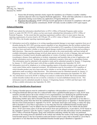Page 4 of 17 EPA Reg. No. 7969-472 Decision No. 564507

- c. Ensure that all training materials clearly require the mandatory use of Sentris or another volatilityreduction adjuvant with every Engenia Herbicide application. Work with State authorities to ensure that appropriate training occurs before any application of Engenia Herbicide is made.
- d. Registrant Recordkeeping: BASF will keep records appropriate to document its compliance with its pH buffering adjuvant quantity commitments. BASF will make records available to EPA upon request.

#### *Enhanced Reporting*

BASF must submit the information identified below to EPA's Office of Pesticide Programs under section 6(a)(2), or under 40 CFR 159.195, unless you have previously submitted that information to EPA's Office of Pesticide Programs. To the extent that this reporting requirement conflicts with or is more narrow than any reporting requirements of section  $6(a)(2)$ , 40 CFR part 159, or EPA's letter of March 27, 2020 pursuant to 40 CFR 159.195(c), the broader reporting requirement applies.

- 12. Information received by telephone or in writing regarding potential damage to non-target vegetation from use of dicamba during the 2021-2025 growing seasons regardless of any determination that the incident resulted from misuse (intentional or accidental). Information must be forwarded to EPA regardless of which dicamba product may have been used and/or whether or not the alleged damage resulted from a product being used according to label directions. Data must be organized by product and state to the extent practicable, and must include all available information regarding acreage involved, plant species involved, severity of damage, date and location (coordinates) of incident, known dicamba applications in vicinity of incident, location of application (coordinates), distance from application to incident, temperature and humidity data at time of application, and similar information received. Incident data must be submitted in narrative form and in a spreadsheet format. This information must be submitted with cumulative totals and be submitted annually by January 15 (beginning by January 15, 2022) and final report with all then available information due September 30, 2025.
- 13. Information received by telephone or in writing regarding reports of dicamba-resistant weeds, and cases of weed control failure and/or suspected resistance. All information must be forwarded to EPA regardless of which dicamba product may have been used and/or whether or not the alleged resistance occurred after an application made according to label directions. This information must be submitted annually by January 15 (beginning January 15, 2022) and final report with all then available information due September 30, 2025.
- 14. Any information received by BASF or finding in an analysis conducted by BASF that foods/commodities contain dicamba residues that are not covered by a tolerance or exceed established tolerance levels. This information must be submitted annually by January 15 (beginning January 15,2022) and final report with all then available information due September 30, 2025.

#### *Hooded Sprayer Qualification Requirement*

- 15. Testing of hooded sprayers must be conducted in compliance with procedures as set forth in Appendix F.
- 16. If Engenia Herbicide label provides for a reduced buffer when a qualified hooded sprayer is used, BASF must maintain a hooded sprayer tab on the website at www.engeniatankmix.com identifying the qualified hooded sprayers. The website must identify a testing protocol, consistent with Appendix F, that is appropriate for determining whether spray drift of dicamba from the proposed hooded sprayer is equivalent to or less than (*i.e.*, not statistically greater than) that from the established baseline hooded sprayer in Appendix F. Hooded sprayers that have been tested pursuant to Appendix F by BASF and found, based upon such testing, to reduce the spray drift of dicamba to a level that is equivalent to or less than that from the established baseline hooded sprayer identified in Appendix F may be added to the list of qualified hooded sprayers on the website tab described above. BASF must retain copies of all data and analysis from tests performed by, or provided to, BASF based on the Appendix F protocol. Upon the Agency's request, copies of such test data and analysis must be submitted to EPA's Office of Pesticide Programs, along with certification indicating whether the study was performed pursuant to the testing protocols identified on the website and whether the results of the testing support adding the tested hooded sprayer to the list of products tested and found to result in spray drift of dicamba to a level that is equivalent to or less than that from the established baseline hooded sprayer identified in Appendix F.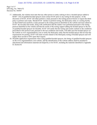Page 5 of 17 EPA Reg. No. 7969-472 Decision No. 564507

- 17. Additionally, the website must state that any other person or entity seeking to have a hooded sprayer added to BASF 's list of qualified hooded sprayers must contact BASF prior to any testing for this purpose. At the discretion of BASF, BASF will either perform a study pursuant to the testing protocol herein or request the thirdparty to perform such study. Should BASF decline to perform testing, the third-party entity or a testing facility on their behalf must perform a study pursuant to the testing protocol identified on the website and must submit to BASF the test data and results, along with certification that the studies were performed pursuant to the testing protocol identified on the website and that the results of the testing support adding the hooded sprayer to the list of qualified hooded sprayers for dicamba. BASF will certify that the testing and results conform to the conditions prescribed in this protocol and, pursuant to the test conditions and results, will either post the hooded sprayer on the website at www.engeniatankmix.com or notify the third-party entity that the hooded sprayer did not meet the requirements for posting. BASF will retain records related to this third-party testing of hooded sprayers and will supply these records to EPA upon their request.
- 18. Dicamba application requirements when using qualified hooded sprayers, the listing of qualified hooded sprayers on the www.engeniatankmix.com website, and the identification of the website address shall be included in educational and information materials developed by or for BASF, including the materials identified in Appendix D, Section B.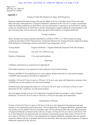#### Case: 20-73750, 12/21/2020, ID: 11936705, DktEntry: 1-8, Page 7 of 39

Page 6 of 17 EPA Reg. No. 7969-472 Decision No. 564507

#### **Appendix A**

Testing of Tank Mix Products for Spray Drift Properties

Products proposed for tank-mixing with may be added to the list of products that will not adversely affect the spray drift properties of Engenia Herbicide contained on the web site if a study is performed under the testing conditions set forth below; the test information is reported as set forth below; and the results are interpreted as set forth below and the interpretation supports adding the tested product to the list of products that will not adversely affect the spray drift properties of Engenia Herbicide:

#### Testing Conditions

Spray chamber test using conditions described in ASTM E-2798-11; or Wind Tunnel test using conditions described in EPA Final Generic Verification Protocol for Testing Pesticide Application Spray Drift Reduction Technologies for Row and Field Crops (September, 2013)

| Testing Media:        | Engenia Herbicide + Engenia Herbicide Proposed Tank Mix Product |
|-----------------------|-----------------------------------------------------------------|
| Test Nozzle:          | Tee Jet® TTI 11004 at 63 psi                                    |
| Number of Replicates: | 3 for each tested medium                                        |

#### Reporting

Validation information as summarized in Appendix B

Full droplet spectrum to be reported for each replicate of each tested medium

Perform AGDISP (8.26) modeling run for each replicate droplet spectrum for each tested medium (AGDISP input parameters described in Appendix C)

Establish 110 foot (0.5 lb ae/A rate) or 220 foot (1.0 lb ae/A rate) spray drift deposition estimates from AGDISP run on each replicate for each tested medium

Establish mean and standard deviation of 110 foot (0.5 lb ae/A rate) or 220 foot (1.0 lb ae/A rate) deposition for the 3 replicates of each tested medium

One-tail (upper bound) t-test  $(p=0.1)$  to determine if proposed tank-mix product is above Engenia Herbicide 110 foot (0.5 lb ae/A rate) or 220 foot (1.0 lb ae/A rate) spray drift deposition.

#### Interpretation of Results

If mean 110 foot (0.5 lb ae/A rate) or 220 foot (1.0 lb ae/A rate) deposition for proposed tank-mix product is not statistically greater than mean 110 foot deposition for Engenia Herbicide, proposed tankmix product can be added to the list of products that will not adversely affect the spray drift properties of Engenia Herbicide contained on the web site. If mean 110 foot (0.5 lb ae/A rate) or 220 foot (1.0 lb ae/A rate) deposition for proposed tank-mix product is statistically greater than mean 110 foot (0.5 lb ae/A rate) or 220 foot (1.0 lb ae/A rate) deposition for Engenia Herbicide, proposed tank-mix product cannot be added to the list of products that will not adversely affect the spray drift properties of Engenia Herbicide contained on the web site.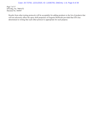Page 7 of 17 EPA Reg. No. 7969-472 Decision No. 564507

Results from other testing protocols will be acceptable for adding products to the list of products that will not adversely affect the spray drift properties of Engenia Herbicide provided that EPA has determined in writing that such other protocol is appropriate for such purpose.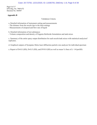Page 8 of 17 EPA Reg. No. 7969-472 Decision No. 564507

#### **Appendix B**

#### Validation Criteria

- a. Detailed information of instrument setting and measurements
- The distance from the nozzle tips to the laser settings
- Measurements of airspeed and flow rate of liquid
- b. Detailed information of test substances
- Volume composition and density of Engenia Herbicide formulation and tank mixes

c. Summary of the entire spray output distribution for each nozzle/tank mixes with statistical analysisof replicates.

d. Graphical outputs of Sympatec Helos laser diffraction particle size analyzer for individualspectrum

e. Report of DvO.l (SD), DvO.5 (SD), and DV0.9 (SD) as well as mean % fines of (< 141pmSD)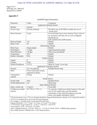Page 9 of 17 EPA Reg. No. 7969-472 Decision No. 564507

#### **Appendix C**

|  |  | <b>AGDISP</b> Input Parameters |
|--|--|--------------------------------|
|--|--|--------------------------------|

| Parameter                                                                                                                  | Value                                                          | Comments                                                                                                                       |  |
|----------------------------------------------------------------------------------------------------------------------------|----------------------------------------------------------------|--------------------------------------------------------------------------------------------------------------------------------|--|
|                                                                                                                            |                                                                | <b>Application Method Section</b>                                                                                              |  |
| Method                                                                                                                     | Ground                                                         |                                                                                                                                |  |
| Nozzle Type                                                                                                                | Flat fan (Default)                                             | The direct use of the DSD overrides the use of                                                                                 |  |
|                                                                                                                            |                                                                | "nozzle type"                                                                                                                  |  |
| <b>Boom Pressure</b>                                                                                                       | 63 psi                                                         | If nozzles/tank mixes were tested at 63 psi. It has to                                                                         |  |
|                                                                                                                            |                                                                | be consistent with tank mix as well as Engenia                                                                                 |  |
| Herbicide for                                                                                                              |                                                                |                                                                                                                                |  |
|                                                                                                                            |                                                                | both TeeJet® and AIXR nozzles                                                                                                  |  |
| Release Height                                                                                                             | 3 <sub>f</sub>                                                 | Default                                                                                                                        |  |
| <b>Spray Lines</b>                                                                                                         | 20                                                             | Default                                                                                                                        |  |
|                                                                                                                            |                                                                | Meteorology Section                                                                                                            |  |
| Wind Type                                                                                                                  | Single height                                                  | Default                                                                                                                        |  |
| Wind Speed                                                                                                                 | 15 mph                                                         | Upper bound from label                                                                                                         |  |
| <b>Wind Direction</b>                                                                                                      | $-90$ deg                                                      | Worst-case and default                                                                                                         |  |
| Temperature                                                                                                                | 65 F                                                           | Default                                                                                                                        |  |
| <b>Relative Humidity</b>                                                                                                   | 50%                                                            | Default                                                                                                                        |  |
|                                                                                                                            |                                                                | Surface Section                                                                                                                |  |
| Angles                                                                                                                     | $\mathbf{0}$                                                   | Default                                                                                                                        |  |
| Canopy                                                                                                                     | None                                                           | Default                                                                                                                        |  |
| <b>Surface Roughness</b>                                                                                                   | $0.12$ ft                                                      | Mean of "crops" cover type                                                                                                     |  |
|                                                                                                                            |                                                                | <b>Application Technique Section</b>                                                                                           |  |
| <b>Nozzles</b>                                                                                                             | 54, even spacing                                               | Standard boom setup                                                                                                            |  |
| <b>DSD</b>                                                                                                                 | From wind tunnel results,                                      |                                                                                                                                |  |
|                                                                                                                            | imported in library                                            |                                                                                                                                |  |
| Atmospheric                                                                                                                | Strong                                                         | Default                                                                                                                        |  |
| stability                                                                                                                  |                                                                |                                                                                                                                |  |
|                                                                                                                            |                                                                | <b>Swath Section</b>                                                                                                           |  |
| Swath width                                                                                                                | 90 ft                                                          | Standard boom                                                                                                                  |  |
| Swath displacement                                                                                                         | $0$ ft                                                         | Worst-case                                                                                                                     |  |
|                                                                                                                            |                                                                | <b>Spray Material Section</b>                                                                                                  |  |
| Spray volume rate                                                                                                          | $15$ gal/A                                                     | From label                                                                                                                     |  |
| Volatile/nonvolatile                                                                                                       | M 1768 at 1.72% v/v                                            | To calculate volatile/nonvolatile fraction in the tank                                                                         |  |
| fraction                                                                                                                   |                                                                | mix for the model input, provide detailed                                                                                      |  |
|                                                                                                                            |                                                                | information of the tested formulations and tank                                                                                |  |
|                                                                                                                            |                                                                | mixes. See sample calculation, below <sup>1</sup>                                                                              |  |
|                                                                                                                            |                                                                | <sup>1</sup> The tested mixture was 1.72% (v/v) Engenia Herbicide. Engenia Herbicide has a density of 10.2 lb/gal and contains |  |
| 42.8% (w/v) dicamba DGA salt (2.9 lb acid equivalent/gal).                                                                 |                                                                |                                                                                                                                |  |
| For example, a 10-gallon batch would contain the following:                                                                |                                                                |                                                                                                                                |  |
| Engenia Herbicide 1.71% * 10 gal = 0.172 gal ; 0.172 gal * 10.2 lb/gal =                                                   |                                                                |                                                                                                                                |  |
| 1.753 lb Water 10 gal (1280 fl oz) – 22 fl oz = 1258 fl oz = 82.0157 lb<br>Total weight $1.753$ lb + 82.016 lb = 83.769 lb |                                                                |                                                                                                                                |  |
| Active ingredient fraction: 1.753 lb * 42.8% a.i. = 0.75 lb; 0.75 lb/83.769 lb = 0.00896 (dimensionless)                   |                                                                |                                                                                                                                |  |
|                                                                                                                            | Non-volatile fraction: $0.00896/0.428 = 0.021$ (dimensionless) |                                                                                                                                |  |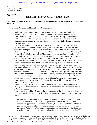Page 10 of 17 EPA Reg. No. 7969-472 Decision No. 564507

#### **Appendix D**

#### **HERBICIDE RESISTANCE MANAGEMENT PLAN**

#### **BASF must develop an herbicide resistance management plan that includes all of the following elements:**

#### **A. Field Detection and Remediation Components:**

- 1. Update and implement an education program for growers, as set forth under the "Educational / Informational Component," below, that identifies appropriate best management practices (BMPs), as set forth under the "Best Management Practices (BMPs) Component," below, to delay, contain, and/or control weed resistance. This plan must convey to growers the importance of complying with BMPs and addressing resistance concerns.
- 2. If any grower or user informs you of a lack of herbicide efficacy, then you or your representative must (unless denied access by the grower) evaluate the field for "likely resistance" to Engenia Herbicide for each specific species for which lack of herbicide efficacy is reported by applying the criteria set forth in Norsworthy, *et al*., "Reducing the Risks of Herbicide Resistance: Best Management Practices and Recommendations," Weed Science 20[1](#page-10-0)2 Special Issue: 31–62 (*hereinafter* "Norsworthy criteria")<sup>1</sup> in each specific state. If denied access, BASF must document this denial of access.
- 3. If BASF receives information of confirmed resistance to dicamba in a specific state for a specific weed species, then BASF must immediately report such confirmation to EPA and applicable state pesticide authority and extension services (e.g., state in which resistance is found). After that time, BASF need no longer investigate new reports of lack of herbicide efficacy regarding that specific species in that specific state, but BASF must continue to comply with A.2. above in regard to any other weed species in any such state and develop, submit to EPA, and implement a strategy to address the ongoing resistance. In addition, for each grower or user in any jurisdiction who reports a lack of efficacy, BASF must continue to make available stewardship information about resistance management to the grower or user throughout their use of this product, regardless of whether resistance is confirmed.
- 4. BASF must keep records of all field evaluations and all grower or user reports of lack efficacy or "likely resistance" for a period of 3 years and make such copies available to EPA upon request.
- 5. In any case described in A.2. above where one or more of the Norsworthy criteria are met for a weed species not already confirmed to be resistant to dicamba in that specific state, BASF must:

Provide the grower with specific information and recommendations to control and contain likely resistant weeds, including retreatment and/or other non-chemical controls, as appropriate. If requested by grower, BASF or its agent must continue to provide information and recommendations in the implementation of weed control measures. At the time of the initial determination that one or more of the Norsworthy criteria are met, and prior to any application of alternative control practices, BASF

<span id="page-10-0"></span> $1$  The Norsworthy "likely herbicide resistance" criteria are: (1) failure to control a weed species normally controlled by the herbicide at the dose applied, especially if control is achieved on adjacent weeds; or (2) a spreading patch of uncontrolled plants of a particular weed species; or (3) surviving plants mixed with controlled individuals of the same species. The identification of any of these criteria in the field indicates that "likely herbicide resistance" is present.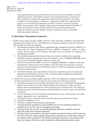Page 11 of 17 EPA Reg. No. 7969-472 Decision No. 564507

> must request that the grower provide BASF access to the relevant field(s) to collect sufficient specimens of the likely resistant weeds (potted specimens or seeds) to be able to effectively evaluate the suspected resistant weeds for resistance for further evaluation in the greenhouse or laboratory. Alternately, BASF may request that the grower or user provide such specimens, at BASF's expense. If access is granted, BASF must promptly collect samples of the suspected resistant weeds if available. If viable specimens have been collected, BASF must commence greenhouse or laboratory studies to confirm whether resistance is present as soon as practicable following sample collection.

#### **B. Educational / Informational Component:**

- 1. BASF must develop, annually update, provide to EPA and make available to state pesticide authority and extension service, and implement an education program for growers and users that includes the following elements:
	- a. The education program shall identify appropriate best management practices (BMPs), set forth under the "Best Management Practices (BMPs) Component," below, to delay, contain, and/or control weed resistance, and shall convey to growers the importance of complying with BMPs;
	- b. The education program shall include at least one written communication regarding herbicide resistance management each year, directed to users of Engenia Herbicide for use over-the-top on dicamba tolerant soybean or cotton; and
	- c. BASF must transmit the BMPs to all users of Engenia Herbicide. In addition to the other requirements of these Terms and Conditions, this transmittal must describe to growers and users the commitments as described in section A.5 about investigations of suspected dicamba-resistant weeds.
	- d. All BASF herbicide sales representatives must have immediate access to the education program for distribution to growers, users, extension agents, neighboring landowners, and any other interested stakeholder.
- 2. BASF must develop, annually update, provide to EPA, and implement an education program on label requirements for growers and users that includes the following elements:
	- a. The education program must include information about how to determine the appropriate buffers so that users have a better understanding what constitutes a buffer on his/her field(s), and recommendations for weed control practices in buffer zones. The education program must also include information on determination of sensitive areas and cutoff date restrictions.
	- b. Provide training on the use of broadcast hooded sprayers (e.g., what qualifies as hooded sprayer, appropriate uses, manufactures).
	- c. Training for sprayer cleanouts (before and after spraying as indicated on labels).
	- d. Training for Bulletins Live 2!
	- e. Training on updated record keeping requirements.
	- f. Training should be modified to clearly prohibit the use of the dicamba products not intended for use on DT crops for all application timings.
	- g. Training on the use of newly required pH buffering adjuvants (volatility-reduction adjuvants) and/or drift reduction adjuvants.
	- h. Training on how users/growers can report incidents and control failures to EPA and states.
	- i. Provide to EPA the original education program for dicamba users within three months of the issuance of this registration. Provide the educational materials to states that provide their own training. Provide any other stakeholder with educational materials upon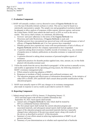Page 12 of 17 EPA Reg. No. 7969-472 Decision No. 564507

request.

#### **C. Evaluation Component:**

- 1. BASF will annually conduct a survey directed to users of Engenia Herbicide for use over-the-top of dicamba tolerant soybean or cotton. This survey must be based on a statistically representative sample. The sample size and geographical resolution should be adequate to allow analysis of responses within regions, between regions, and across the United States. BASF must submit the draft survey to EPA as well as the survey results. This survey shall evaluate, at a minimum, the following:
	- a. Growers' and users' adherence to the terms of the Engenia Herbicide Use Directions and Label Restrictions, if Engenia Herbicide is used, and
	- b. Whether growers have encountered any perceived issue with non-performance or lack of efficacy of Engenia Herbicide and, if so, how growers have responded.
	- c. Whether growers have reported any issues with non-performance of lack of efficacy of Engenia Herbicide and how the company representatives have responded.
	- d. A question asking about awareness of public records of resistance (e.g., any awareness of popular press or industry publications on dicamba resistance or suspected resistant biotypes).
	- e. A question directed to asking about awareness of personal/neighbor reports of resistance.
	- f. Application practices for dicamba product applied (rate, time, amount, etc.) to the fields planted with dicamba-resistant seed.
- 2. Utilize the results from the survey described in paragraph 1 of this section to annually review, and modify as appropriate for the upcoming growing season, the following elements of BASF's resistance management plan:
	- a. Efforts aimed at achieving adoption of BMP's;
	- b. Responses to incidents of likely resistance and confirmed resistance; and
	- c. The education program and effectiveness of information dissemination. At the initiative of either EPA or BASF, EPA and BASF shall consult about possible modifications of the education program.
- 3. BASF must annually report to EPA any changes to its resistance management plan made in response to survey results as provided in section D.1.below.

#### **D. Reporting Component:**

- 1. Submit annual reports to EPA by January 15 (beginning January 15, 2022) and final report with all then available information due September 30, 2025. Such reports shall include:
	- a. Annual sales of Engenia Herbicide by state which shall be treated by EPA as confidential business information;
	- b. The first annual report shall include the current education program and associated materials, and subsequent annual reports shall include updates of any aspect of the education program and associated materials that have materially changed since submission of the previous annual report, along with results of the survey as described in section C of this document;
	- c. Summary of your efforts aimed at achieving implementation of BMP's by all growers and users;
	- d. Summary of your determinations as to whether each reported lack of herbicide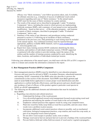Page 13 of 17 EPA Reg. No. 7969-472 Decision No. 564507

> efficacy was "likely resistance," your follow-up actions taken, and, if available, the ultimate outcome (e.g., evaluation of success of additional weed control measures) regarding each case of "likely resistance." In the annual report, BASF must list the cases of likely resistance by county andstate.

- e. The results of the annual survey described in paragraph 1 under "Evaluation Component," above, including the extent to which growers are implementing herbicide resistance BMPs, and a summary of your annual review and possible modification – based on that survey – of the education program, , and response to reports of likely resistance, described in paragraph 2 under "Evaluation Component," above; and
- f. Summary of the status of any laboratory and greenhouse testing conducted pursuant to section A.5 following up on incidents of likely resistance, performed in the previous year. Data pertaining to such testing must be included in the annual reports. Any confirmed resistance must be reported through appropriate, publicly available HRM channels, such as [www.weedscience.org](http://www.weedscience.org/) or www.hracglobal.com.
- g. Report how many training sessions BASF conducted, identifying the dates, locations, and numbers of individuals trained per session. If BASF supported or partnered with other entities to provide training, report the names of the entities and the number of training sessions conducted by each, identifying the dates, locations, and numbers of individuals trained per session.

Following your submission of the annual report, you shall meet with the EPA at EPA's request in order to evaluate and consider the information contained in the report.

#### **E. Best Management Practices (BMPs) Component:**

- 1. Best management practices (BMPs) must be identified in your education program. Growers and users must be advised of BMP's in product literature, educational materials and training. BASF's transmittal of the BMPs must also describe to growers the commitments in this section of this document. Such BMPs must direct growers and users to scout fields before application to ensure proper weed identification and after application to confirm herbicide effectiveness, and that growers and users should report any incidence of lack of efficacy of this product against a particular weed species to BASF or a BASF representative.
- 2. The following are the additional elements and information that must be included in these BMPs:
	- a. Regarding crop selection and cultural practices:
		- i. Understand the biology of the weeds present.
		- ii. Use a diversified approach toward weed management focused on preventing weed seed production and reducing the number of weed seeds in the soil seed-bank.
		- iii. Emphasize cultural practices that suppress weeds by using crop competitiveness.
		- iv. Plant into weed free fields, keep fields as weed free as possible, and note areas where weeds were a problem in prior seasons.
		- v. Incorporate additional weed control practices whenever possible, such as mechanical cultivation, biological management practices, crop rotation, and weed-free crop seeds, as part of an integrated weed control program.
		- vi. Do not allow weed escapes to produce seeds, roots or tubers.
		- vii. Manage weed seed at harvest and post-harvest to prevent a buildup of the weedseed-bank.
		- viii. Prevent field-to-field and within-field movement of weed seed or vegetativepropagules.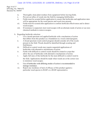#### Case: 20-73750, 12/21/2020, ID: 11936705, DktEntry: 1-8, Page 15 of 39

Page 14 of 17 EPA Reg. No. 7969-472 Decision No. 564507

- ix. Thoroughly clean plant residues from equipment before leaving fields.
- x. Prevent an influx of weeds into the field by managing field borders.
- xi. Fields must be scouted before application to ensure that herbicides and application rates will be appropriate for the weed species and weed sizes present.
- xii. Fields must be scouted after application to confirm herbicide effectiveness and to detect weed escapes.
- xiii. If resistance is suspected, treat weed escapes with an alternate mode of action or use nonchemical methods to remove escapes.
- b. Regarding herbicide selection:
	- i. Use a broad spectrum soil applied herbicide with a mechanism of action that differs from this product as a foundation in a weed controlprogram.
	- ii. A broad spectrum weed control program should consider all of the weeds present in the field. Weeds should be identified through scouting and field history.
	- iii. Difficult to control weeds may require sequential applications of herbicides with alternative mechanisms of action.
	- iv. Fields with difficult to control weeds should be rotated to crops that allow the use of herbicides with alternative mechanisms of action.
	- v. Apply full rates of this herbicide for the most difficult to control weed in the field. Applications should be made when weeds are at the correct size to minimize weed escapes.
	- vi. Use of herbicides with differing modes of action is recommended to manage resistance.
	- vii. Report any incidence of lack of efficacy of this product against a particular weed species to BASF or a BASF representative.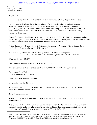Page 15 of 17 EPA Reg. No. 7969-472 Decision No. 564507

#### **Appendix E**

Testing of Tank Mix Volatility-Reduction Adjuvants/Buffering Adjuvants Properties

Products proposed as [volatility-reduction adjuvants] (may also be called Volatility Reduction Agent, pH Buffering Adjuvant, or pH Buffering Agent) may be added to the list of approved products on [enter URL] website if found, based upon such testing, that the Test Mixture results in a humidome airborne dicamba concentration are comparable to or less than the established Testing Standard as defined below.

Testing Conditions: Humidome test using conditions based on ASTM STP1587\* , such as those outlined below. Testing is not required to be performed to GLP standards, but are expected to be well documented and validated, with associated record retention for potential future reference.

Testing Standard: [Dicamba Product] + Roundup PowerMAX + VaporGrip Xtra or Sentris (0.5 lb a.e./A + 1.125 lb a.e. glyphosate/A + XXX use rate)

Test Mixture: [Dicamba Product] + Roundup PowerMAX + Buffering Adjuvant  $(0.5$  lb a.e. dicamba/A + 1.125 lb a.e. glyphosate/A + XXX use rate)

Water carrier rate: 15 GPA

Normal plastic humidome as specified in ASTM STP1587

Treated substrate: soil/soil blend as specified in ASTM STP1587 with 12-22% moisture

Temperature:  $35 \pm 5^{\circ}$  C Relative humidity:  $40 \pm 5\%$  RH

Sample collection duration: 24 hours

Air sampling rate: 1.5-3.0 L/min

Air sampling filter: any substrate validated to capture >95% of dicamba (*e.g.*, fiberglass mesh +  $\cot$ ton pad, cellulose + PUF, MCE)

Replications: 3 minimum

Analysis: A one-tail (upper-bound) t-test  $(\alpha = 0.10)$  performed for all test mixtures relative to testing standard.

Passing result: If the Test Mixture mean was not statistically greater than that of the Testing Standard, then the [volatility-reduction adjuvant/buffering adjuvant] in the Test Mixture demonstrated the ability to reduce volatility equivalent to or better than that of [VaporGrip/Sentris].

<sup>\*</sup> Gavlick, W.K., D.R. Wright, A. MacInnes, J.W. Hemminghaus, J.K. Webb, V.I. Yermolenka, W. Su. 2016. A Method to Determine the Relative Volatility of Auxin Herbicide Formulations, Pesticide Formulation and Delivery Systems: 35th Volume, ASTM STP1587. pp. 24-32G. R. Goss, Ed. ASTM International, West Conshohocken, PA.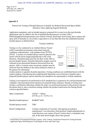Page 16 of 17 EPA Reg. No. 7969-472 Decision No. 564507

#### **Appendix F**

#### Protocol for Testing of Hooded Sprayers to Qualify for Reduced Downwind Spray Buffer Distances when Applying Engenia Herbicide

Application equipment, such as hooded sprayers, proposed for in-crop (over-the-top) dicamba applications may be added to the list of qualified hooded sprayers on [enter URL] Herbicideapplicationrequirements.com website if found, based upon such testing, that it reduces the spray drift of dicamba to a level that is equivalent to or less than that from the established baseline hooded sprayer as defined below.

#### Testing Conditions

Testing is to be conducted in an Ambient Breeze Tunnel (ABT) controlled environment wind tunnel using the conditions outlined below, with guidance from US EPA  $(2016)^1$ . A section of a hooded sprayer must be placed in the tunnel with the boom length perpendicular to the wind direction. Absorbent pads must line the floor of the ABT to prevent droplet bounce. Dicamba deposition samples must be collected at pre-determined distances downwind from the sprayer. After a 2-minute clear-out period, samples must be retrieved from the farthest to the closest distances relative to the sprayer for subsequent



residue analysis to quantify dicamba deposition. Testing conditions are established herein with the express purpose of producing and comparing drift deposition curves between a baseline and a proposed hooded sprayer and are therefore not intended to be representative of field conditions.

Testing is not required to be performed to GLP standards but is expected to be well-documented and validated, with associated record retention for potential future reference. Results of testing must include a certification indicating whether the study was performed pursuant to this protocol and any deviations from it, and a conclusion stating whether the product tested meets the Passing Result criterion specified below.

| Spray components:        | Clarity <sup>®</sup> + Induce<br>$(0.5$ lb a.e./A + 0.25% v/v)                                                                                                                                                                                                |
|--------------------------|---------------------------------------------------------------------------------------------------------------------------------------------------------------------------------------------------------------------------------------------------------------|
| Baseline hooded sprayer: | RedBall® $642E$                                                                                                                                                                                                                                               |
| Hooded sprayer tested:   | TBD                                                                                                                                                                                                                                                           |
| Boom Configuration:      | Contain a minimum of 4 nozzles with spacing according to<br>manufacturer's use directions; fixed position; length perpendicular to<br>wind direction; rear curtain of hood 3 inches above a simulated crop<br>and, at the same boom height, above bare ground |

<sup>&</sup>lt;sup>1</sup> United States Environmental Protection Agency. 2016. Generic Verification Protocol for Testing Pesticide Application Spray Drift Reduction Technologies for Row and Field Crops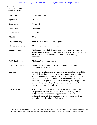Page 17 of 17 EPA Reg. No. 7969-472 Decision No. 564507

| Nozzle/pressure:     | TT 11003 at 50 psi                                                                                                                                                                                                                                                                                                                                                                                                                                                             |
|----------------------|--------------------------------------------------------------------------------------------------------------------------------------------------------------------------------------------------------------------------------------------------------------------------------------------------------------------------------------------------------------------------------------------------------------------------------------------------------------------------------|
| Spray rate:          | 15 GPA                                                                                                                                                                                                                                                                                                                                                                                                                                                                         |
| Spray duration:      | 30 seconds                                                                                                                                                                                                                                                                                                                                                                                                                                                                     |
| Wind speed:          | Minimum 10 mph                                                                                                                                                                                                                                                                                                                                                                                                                                                                 |
| Temperature:         | $10-35$ °C                                                                                                                                                                                                                                                                                                                                                                                                                                                                     |
| Humidity:            | 20-80%                                                                                                                                                                                                                                                                                                                                                                                                                                                                         |
| Deposition samplers: | Filter paper on blocks 3-in above ground                                                                                                                                                                                                                                                                                                                                                                                                                                       |
| Number of samplers:  | Minimum 3 at each downwind distance                                                                                                                                                                                                                                                                                                                                                                                                                                            |
| Sampler distances:   | Minimum 6 downwind distances for analysis purposes; distances<br>should follow a geometric distribution (e.g., $2, 4, 8, 20, 30, 60,$ and 120<br>feet) and cover out to 120 feet but may vary based on study<br>considerations.                                                                                                                                                                                                                                                |
| Drift simulations:   | Minimum 3 per hooded sprayer                                                                                                                                                                                                                                                                                                                                                                                                                                                   |
| Analytical analysis: | Conducted per latest version of analytical method ME-1871 or<br>another validated method <sup>1</sup>                                                                                                                                                                                                                                                                                                                                                                          |
| Analysis:            | Appropriate non-linear and/or generalized linear models will be fit to<br>the drift deposition measurements of each hooded sprayer evaluated.<br>After an appropriate model is selected, deposition estimates will be<br>made at 2, 4, 8, 20, 30, 60, and 120 feet for both the baseline and<br>proposed hooded sprayer. The boom orientation (crop canopy or bare<br>ground) that gives the highest overall deposition for the baseline<br>sprayer will be used for analysis. |
| Passing result:      | If a comparison of the deposition values for the proposed hooded<br>sprayer to the baseline hooded sprayer at 20 feet, using a one-tailed t-<br>test (assuming equal variances, upper bound, alpha=0.10), is not<br>statistically different, then the proposed hooded sprayer functions<br>equivalent to the baseline hooded sprayer.                                                                                                                                          |

<span id="page-17-0"></span> $<sup>1</sup>$  A study conducted with a validated analytical method other than ME-1871 must be accompanied with a report containing the environmental</sup> chemistry method, describing in full the analytical method that was used and validated, as well as an independent laboratory validation of the method.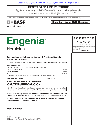# RESTRICTED USE PESTICIDE

For retail sale to and use only by Certified Applicators. To be used by certified applicators only; NOT to be used by uncertified persons working under the supervision of a certified applicator, except that uncertified persons may transport containers.

This EPA registration expires December 20, 2025, **DO NOT** use or distribute this product after December 20, 2025.



Dicamba Group 4 Herbicide

We create chemistry

# Engenia **Herbicide**

# **ACCEPTED** 10/27/2020

Under the Federal Insecticide, Fungicide and Rodenticide Act as amended, for the pesticide registered under

EPA Reg. No. 7969-472

#### For weed control in Dicamba-tolerant (DT) cotton† ; Dicambatolerant (DT) soybean†

<sup>†</sup> Only for use in states listed as US EPA approved in the **Dicamba-tolerant (DT) Crops**.

| <b>Active Ingredient*:</b>                                                            |  |
|---------------------------------------------------------------------------------------|--|
| dicamba: N,N-Bis-(3-aminopropyl)methylamine salt of 3,6-                              |  |
|                                                                                       |  |
|                                                                                       |  |
|                                                                                       |  |
| *Contains 48.38% dicamba (5 pounds acid equivalent per gallon or 600 grams per liter) |  |

EPA Reg. No. 7969-472 EPA Est. No.

### KEEP OUT OF REACH OF CHILDREN CAUTION/PRECAUCION

Si usted no entiende la etiqueta, busque a alguien para que se la explique a usted en detalle. (If you do not understand the label, find someone to explain it to you in detail.)

See full label for complete First Aid, Precautionary Statements, Directions For Use, **Conditions of Sale and Warranty**, and state-specific crop and/or use site restrictions.

In case of an emergency endangering life or property involving this product, call day or night 1-800-832-HELP (4357).

Net Contents: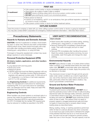#### Case: 20-73750, 12/21/2020, ID: 11936705, DktEntry: 1-8, Page 20 of 39

| <b>FIRST AID</b>      |                                                                                                                                                                                                                                                                                          |  |  |
|-----------------------|------------------------------------------------------------------------------------------------------------------------------------------------------------------------------------------------------------------------------------------------------------------------------------------|--|--|
| If swallowed          | • Call a poison control center or doctor immediately for treatment advice.<br>• Have person sip a glass of water if able to swallow.<br>• DO NOT induce vomiting unless told to do so by a poison control center or doctor.<br>• DO NOT give anything by mouth to an unconscious person. |  |  |
| If inhaled            | • Move person to fresh air.<br>• If person is not breathing, call 911 or an ambulance; then give artificial respiration, preferably<br>by mouth to mouth, if possible.<br>• Call a poison control center or doctor for further treatment advice.                                         |  |  |
| <b>HOTLINE NUMBER</b> |                                                                                                                                                                                                                                                                                          |  |  |
|                       | Have the product container or label with you when calling a poison control center or doctor or going for treatment.<br>You may also contact BASF Corporation for emergency medical treatment information: 1-800-832-HELP (4357).                                                         |  |  |

#### Precautionary Statements

#### Hazards to Humans and Domestic Animals

CAUTION. Harmful if swallowed or inhaled. Avoid breathing vapor or spray mist. Remove and wash contaminated clothing before reuse. Wash hands thoroughly with soap and water after handling and before eating, drinking, chewing gum, using tobacco, or using the toilet.

Prolonged or frequently repeated skin contact may cause allergic reactions in some individuals.

#### Personal Protective Equipment (PPE)

#### All mixers, loaders, applicators, and other handlers must wear:

- Long-sleeved shirt and long pants
- Shoes plus socks
- Waterproof gloves
- A NIOSH-approved dust/mist filtering respirator with any R, P, or HE filter. Examples include a filtering facepiece respirator with approval number prefix TC-84A and an R or P designation, or a full-face or half-mask respirator with R, P, or HE cartridges.

See **Engineering Controls** for additional requirements. Follow the manufacturer's instructions for cleaning and maintaining PPE. If no such instructions for washables exist, use detergent and hot water. Keep and wash PPE separately from other laundry.

#### Engineering Controls

When handlers use closed systems or enclosed cabs in a manner that meets the requirements listed in the Worker Protection Standard (WPS) for agricultural pesticides [40 CFR 170.240(d)(4-6)], the handler PPE requirements may be reduced or modified as specified in the WPS.

#### USER SAFETY RECOMMENDATIONS

#### Users should:

- Wash hands after handling and before eating, drinking, chewing gum, using tobacco, or using the toilet.
- Remove clothing/PPE immediately if pesticide gets inside. Then wash thoroughly and put on clean clothing.
- Remove PPE immediately after handling this product. Wash the outside of gloves before removing. As soon as possible, wash thoroughly and change into clean clothing.

#### Environmental Hazards

DO NOT apply directly to water, or to areas where surface water is present, or to intertidal areas below the mean high water mark. **DO NOT** contaminate water when disposing of equipment washwater or rinsate. Apply this product only as directed on the label.

This chemical is known to leach through soil into groundwater under certain conditions as a result of agricultural use. Use of this chemical in areas where soils are permeable, particularly where the water table is shallow, may result in groundwater contamination.

#### Ground and Surface Water Protection

#### Point-source Contamination

To prevent point-source contamination, DO NOT mix or load this pesticide product within 50 feet of wells (including abandoned wells and drainage wells), sinkholes, perennial or intermittent streams and rivers, and natural or impounded lakes and reservoirs. **DO NOT** apply pesticide product within 50 feet of wells. This setback does not apply to properly capped or plugged abandoned wells and does not apply to impervious pad or properly diked mixing/ loading areas as described below.

Mixing, loading, rinsing, or washing operations performed within 50 feet of a well are allowed only when conducted on an impervious pad constructed to withstand the weight of the heaviest load that may be on or move across the pad. The pad must be self-contained to prevent surface water flow over or from the pad. The pad capacity must be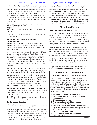#### Case: 20-73750, 12/21/2020, ID: 11936705, DktEntry: 1-8, Page 21 of 39

maintained at 110% that of the largest pesticide container or application equipment used on the pad and have sufficient capacity to contain all product spills, equipment or container leaks, equipment washwater, and rainwater that may fall on the pad. The containment capacity does not apply to vehicles delivering pesticide shipments to the mixing/loading site. States may have in effect additional requirements regarding wellhead setbacks and operational containment.

Care must be taken when using this product to prevent:

- Back-siphoning into wells
- Spills
- Improper disposal of excess pesticide, spray mixtures, or rinsate

Check valves or antisiphoning devices must be used on all mixing equipment.

#### Movement by Surface Runoff or Through Soil

**DO NOT** apply under conditions which favor runoff. DO NOT apply if soil is saturated with water or when rainfall that may exceed soil field capacity is forecast to occur within 48 hours.

Under some conditions, dicamba has the potential for runoff several days after application. Poorly draining, wet, or erodible soils with readily visible slopes toward adjacent sensitive areas are more prone to produce runoff. When used on erodible soils, best management practices for minimizing runoff should be employed. Consult your local Soil Conservation Service for recommendations in your use area.

**DO NOT** apply to impervious substrates such as paved or highly compacted surfaces in areas with high potential for groundwater contamination. Groundwater contamination may occur in areas where soils are permeable or coarse and groundwater is near the surface. **DO NOT** apply to soils classified as sand with less than 3% organic matter and where groundwater depth is shallow. To minimize the possibility of groundwater contamination, carefully follow the specified rates as affected by soil type in the Crop-specific Information section of this label.

#### Movement by Water Erosion of Treated Soil

Ensure treated areas have received at least 1/2-inch rainfall (or irrigation) before using tailwater for subsequent irrigation of other fields.

**DO NOT** apply this product through any type of irrigation system including sprinkler, drip, flood, or furrow irrigation.

#### Endangered Species

It is a Federal offense to use any pesticide in a manner that results in the death of an endangered species.

The use of any pesticide in a manner that may kill or otherwise harm an endangered species or adversely modify their habitat is a violation of federal law. Use of this product in a manner inconsistent with the label may pose a hazard to endangered or threatened species. When using this product, you must follow the measures contained in the

Endangered Species Protection Bulletin for the area in which you are applying the product. To obtain Bulletins, no more than six months before using this product, consult http://www.epa.gov/espp/ or call 1-844-447-3813. You must use the Bulletin valid for the month in which you will apply the product. Please Note: Additional endangered or threatened species obligations are listed under Endangered Species on this label. See Crop-specific Information – Dicamba-tolerant (DT) Crops section for more details regarding protection of endangered species.

## Directions For Use

#### RESTRICTED USE PESTICIDE

It is a violation of federal law to use this product in a manner inconsistent with its labeling. This labeling must be in the user's possession during application. To be used by certified applicators only; NOT to be used by uncertified persons working under the supervision of a certified applicator, except that uncertified persons may transport containers.

**DO NOT** apply this product in a way that will contact workers or other persons, either directly or through drift. Only protected handlers may be in the area during application. For any requirements specific to your state or tribe, consult the agency responsible for pesticide regulation.

Observe all precautions, restrictions, and limitations in this label and the labels of products used in combination with this product. Keep containers closed to avoid spills and contamination.

All applicable directions, restrictions, precautions, and Conditions of Sale and Warranty are to be followed.

#### RESTRICTED USE PESTICIDE RECORD KEEPING REQUIREMENTS

Users must keep the following records for a period of two years; records must be generated within 72 hours after application and a record must be kept for every individual application. Records must be made available to State Pesticide Control Official(s), USDA, and EPA upon request. The following information must be recorded and kept as required by the Federal Pesticide Record Keeping Program, 7 CFR Part 110:

- 1. Full name of the certified applicator
- 2. Certification number of the certified applicator
- 3. Product name
- 4. EPA registration number
- 5. Total amount applied of this product
- 6. Application month, day, and year
- 7. Start and Finish Times: the time the applicator begins and the time the applicator completes applications of this product.
- 8. Location of the application
- 9. Crop or site receiving the application
- 10. Size of area treated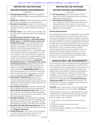#### RESTRICTED USE PESTICIDE

#### RECORD KEEPING REQUIREMENTS

(continued)

- 11. Training Requirement: proof that the applicator completed dicamba-specific training described in this section.
- 12. Application Timing: whether the applicator applied this product preemergence or postemergence.
- 13. Receipts of purchase: receipts for the purchase of this product, and for the purchase of the required pH buffering adjuvant and any required drift reduction adiuvant.
- 14. **Product Label:** a copy of this product label(s), and any state special local needs label that supplements this label.
- 15. Sensitive Areas, Sensitive Crops, and Residential Awareness (see Downwind Spray Buffer Areas and Sensitive Crops, Areas and Residential Areas): Document/record that the applicator checked an applicable sensitive crop/ specialty crop registry; and document that the applicator surveyed all adjacent fields for any sensitive areas, sensitive crops, or residential areas surrounding the field prior to application. At a minimum, records must include the date the applicator consulted the sensitive crop registry/specialty crop registry and the date the applicator surveyed within the required spray buffer distance **Downwind** 
	- Spray Buffer Areas and Sensitive Crops, Areas and Residential Areas adiacent fields, and the name of the sensitive crop registry/specialty crop registry the applicator consulted. The applicator must be aware that **WIND DIRECTION** may vary during the application. If wind direction shifts such that the wind is blowing toward adjacent sensitive crops or residential areas, **STOP** the application.
- 16. Spray Buffer Requirement: Record of the required downwind buffer distance (240 feet or required Endangered Species County requirements) determination and any areas included within the buffer distance determination.
- 17. Spray System Cleanout: Document that the applicator complied with the section of this label titled: "Spray System Equipment Clean-out". At a minimum, records must include the date the applicator performed the required cleanout, and cleanout method that the applicator followed.
- 18. Tank Mix Products: a list of all products (pesticides, adjuvants, and other products) that the applicator tank mixed with this product for each application. Include EPA registration numbers in the case of any pesticides.
- 19. Required Tank Mix Buffering Adjuvant: list the Buffering Adjuvant and use rate that was tank mixed with **Engenia<sup>®</sup> herbicide.**
- 20. Nozzle Selection: which spray nozzle the applicator used to apply this product, and the nozzle pressure the applicator set the sprayer to.

#### RESTRICTED USE PESTICIDE

# RECORD KEEPING REQUIREMENTS

(continued)

- 21. Air Temperature: the air temperature at boom height at the time the applicator starts and finishes applications of this product.
- 22. Wind Speed and Direction: the wind speed at boom height at the time the applicator starts and finishes applications of this product, and the wind direction at the time the applicator starts and finishes applications of this product.

#### Training Requirements

Prior to applying this product, all applicators must complete dicamba-specific training on an annual basis; NOT to be used by uncertified persons working under the supervision of a certified applicator, except that uncertified persons may transport containers. If training is available and required by the state where the applicator intends to apply this product, the applicator must complete that training before applying this product in-crop. If your state does not require dicamba-specific training, then the applicator must complete dicamba specific training provided by one of the following sources: a) a registrant of a dicamba product approved for in-crop use with dicamba-tolerant crops, or b) a state or state-authorized provider.

#### AGRICULTURAL USE REQUIREMENTS

Use this product only in accordance with its labeling and with the Worker Protection Standard, 40 CFR Part 170. This standard contains requirements for the protection of agricultural workers on farms, forests, nurseries, and greenhouses, and handlers of agricultural pesticides. It contains requirements for training, decontamination, notification, and emergency assistance. It also contains specific instructions and exceptions pertaining to the statements on this label about Personal Protective Equipment (PPE) and restricted-entry intervals. The requirements in this box only apply to uses of this product that are covered by the WPS.

DO NOT enter or allow worker entry into treated areas during the restricted-entry interval (REI) of 24 hours.

PPE required for early entry to treated areas that is permitted under the Worker Protection Standard and that involves contact with anything that has been treated, such as, plants, soil, or water is:

- Coveralls worn over short-sleeved shirt and short pants
- Chemical-resistant footwear plus socks
- Waterproof gloves
- Chemical-resistant headgear for overhead exposure
- Protective eyewear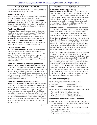#### STORAGE AND DISPOSAL

DO NOT contaminate water, food, or feed by storage or disposal. Open dumping is prohibited.

#### Pesticide Storage

Store in original container in a well-ventilated area separately from fertilizer, feed, and foodstuffs. Avoid cross-contamination with other pesticides. Engenia® herbicide freezes around 15° F and is stable under conditions of freezing and thawing. Product that has been frozen should be thawed and recirculated prior to use.

#### Pesticide Disposal

Wastes resulting from this product must be disposed of on-site or at an approved waste disposal facility. Pesticide, spray mixture, or rinsate that cannot be used according to label instructions must be disposed of according to federal, state or local procedures under Subtitle C of the Resource Conservation and Recovery Act. Improper disposal of excess pesticide, spray mix, or rinsate is a violation of federal law.

#### Container Handling

Nonrefillable Container. DO NOT reuse or refill this container. Triple rinse or pressure rinse container (or equivalent) promptly after emptying; then offer for recycling, if available, or reconditioning, if appropriate, or puncture and dispose of in a sanitary landfill, or by incineration, or by other procedures approved by state and local authorities.

Triple rinse containers small enough to shake (capacity ≤ 5 gallons) as follows: Empty the remaining contents into application equipment or a mix tank and drain for 10 seconds after the flow begins to drip. Fill the container 1/4 full with water and recap. Shake for 10 seconds. Pour rinsate into application equipment or a mix tank, or store rinsate for later use or disposal. Drain for 10 seconds after the flow begins to drip. Repeat this procedure two more times.

Triple rinse containers too large to shake (capacity > 5 gallons) as follows: Empty the remaining contents into application equipment or a mix tank. Fill the container 1/4 full with water. Replace and tighten closures. Tip container on its side and roll it back and forth, ensuring at least one complete revolution, for 30 seconds. Stand the container on its end and tip it back and forth several times. Turn the container over onto its other end and tip it back and forth several times. Empty the rinsate into application equipment or a mix tank, or store rinsate for later use or disposal. Repeat this procedure two more times.

(continued)

#### **STORAGE AND DISPOSAL (continued)**

**Container Handling (continued)** 

**Pressure rinse as follows:** Empty the remaining contents into application equipment or mix tank and continue to drain for 10 seconds after the flow begins to drip. Hold container upside down over application equipment or mix tank, or collect rinsate for later use or disposal. Insert pressure rinsing nozzle in the side of the container and rinse at about 40 PSI for at least 30 seconds. Drain for 10 seconds after the flow begins to drip.

Refillable Container. Refill this container with pesticide only. **DO NOT** reuse this container for any other purpose. Triple rinsing the container before final disposal is the responsibility of the person disposing of the container. Cleaning before refilling is the responsibility of the refiller.

Triple rinse as follows: To clean the container before final disposal, empty the remaining contents from this container into application equipment or mix tank. Fill the container about 10% full with water. Agitate vigorously or recirculate water with the pump for 2 minutes. Pour or pump rinsate into application equipment or rinsate collection system. Repeat this rinsing procedure two more times.

When this container is empty, replace the cap and seal all openings that have been opened during use; return the container to the point of purchase or to a designated location. This container must only be refilled with a pesticide product. Prior to refilling, inspect carefully for damage such as cracks, punctures, abrasions, worn-out threads and closure devices. Check for leaks after refilling and before transport. **DO NOT** transport if this container is damaged or leaking. If the container is damaged, or leaking, or obsolete and not returned to the point of purchase or to a designated location, triple rinse emptied container and offer for recycling, if available, or dispose of container in compliance with state and local regulations.

#### In Case of Emergency

In case of large-scale spill of this product, call:

- CHEMTREC 1-800-424-9300
- BASF Corporation 1-800-832-HELP (4357)

In case of medical emergency regarding this product, call:

- Your local doctor for immediate treatment
- Your local poison control center (hospital)
- BASF Corporation 1-800-832-HELP (4357)

#### Steps to take if material is released or spilled:

- Dike and contain the spill with inert material (sand, earth, etc.) and transfer liquid and solid diking material to separate containers for disposal.
- Remove contaminated clothing and wash affected skin areas with soap and water.
- Wash clothing before reuse.
- Keep the spill out of all sewers and open bodies of water.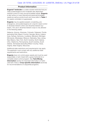#### Product Information

Engenia® herbicide is a water-soluble herbicide that provides postemergence and moderate rate-dependent residual control of many annual broadleaf weeds. Engenia is also active on many biennial and perennial broadleaf weeds as well as woody brush and vines (refer to Table 1 for weeds controlled or suppressed).

**Engenia** may be applied preplant, at-planting, preemergence, and postemergence (in-crop) for weed control in dicamba-tolerant cotton and dicamba-tolerant soybeans. The use in dicamba-tolerant crops is only allowed in the following states:

Alabama, Arizona, Arkansas, Colorado, Delaware, Florida (excluding Palm Beach County), Georgia, Illinois, Indiana, Iowa, Kansas, Kentucky, Louisiana, Maryland, Michigan, Minnesota, Mississippi, Missouri, Nebraska, New Jersey, New Mexico, New York, North Carolina, North Dakota, Ohio, Oklahoma, Pennsylvania, South Carolina, South Dakota, Tennessee (excluding Wilson County), Texas, Virginia, West Virginia, Wisconsin.

Additional state restrictions and requirements may apply. The applicator must comply with any additional state requirements and restrictions.

**Engenia** does not control grass weeds and must be used sequentially or tank mixed with a grass herbicide for a complete weed control program. See Tank Mixing Information section for important information on herbicide tank mixes or Crop-specific Information section(s) for recommendations on sequential programs.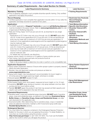#### Summary of Label Requirements – See Label Section for Details

| <b>Label Requirements Summary</b>                                                                                                                                     | <b>Label Sections</b>                       |
|-----------------------------------------------------------------------------------------------------------------------------------------------------------------------|---------------------------------------------|
| <b>Mandatory Training:</b>                                                                                                                                            | • Training Requirements                     |
| • Prior to applying, applicator must complete dicamba-specific training. Only certified                                                                               |                                             |
| applicators may apply this product.                                                                                                                                   |                                             |
| <b>Record Keeping:</b>                                                                                                                                                | <b>• Restricted Use Pesticide</b>           |
| • Certified applicators must complete their application records within 72 hour after the                                                                              | <b>Record Keeping</b>                       |
| application and keep records for a period of two years.                                                                                                               | <b>Requirements</b>                         |
| <b>Application:</b>                                                                                                                                                   | • Tank Mixing Information                   |
| • For EVERY application of Engenia® herbicide an approved pH Buffering Adjuvant                                                                                       | <b>• Specific Use Directions</b>            |
| must be included in the spray mixture. Refer to www.engeniatankmix.com for a list                                                                                     | • Dicamba Tolerant (DT)                     |
| of approved pH Buffering Adjuvants.<br>• Rate and Timing: Apply 12.8 fl ozs per acre (0.5 lb. ae dicamba) for any single                                              | <b>Cotton</b><br>• Dicamba Tolerant (DT)    |
| application:                                                                                                                                                          | Soybean                                     |
| - Applications to DT Cotton may only occur through July 30. DO NOT apply after                                                                                        | • Specific Crop Use                         |
| July 30. A total of four applications (51.2 fl ozs per acre, 2.0 lbs ae dicamba per                                                                                   | <b>Directions</b>                           |
| acre) may be made with a maximum of 12.8 fl ozs per acre per application. A                                                                                           | • Application Methods and                   |
| maximum of two applications preemergence and two applications postemergence                                                                                           | <b>Equipment</b>                            |
| may be made per year.                                                                                                                                                 | • Tank Mixing Information                   |
| - Applications to DT Soybean may only occur through June 30. DO NOT apply after                                                                                       |                                             |
| June 30. A total of four applications (51.2 fl ozs per acre, 2.0 lbs ae dicamba per<br>acre) may be made with a maximum of 12.8 fl ozs per acre per application. A    |                                             |
| maximum of two applications preemergence and two applications postemergence                                                                                           |                                             |
| may be made per year.                                                                                                                                                 |                                             |
| - For details see crop-specific use directions.                                                                                                                       |                                             |
| • Spray volume: Apply in a minimum of 15 gallons of spray solution per acre.                                                                                          |                                             |
| • Tank mixing: Use only approved tank-mix products found at                                                                                                           |                                             |
| www.engeniatankmix.com.                                                                                                                                               |                                             |
| - Refer to all product labels to determine mix order or perform a mix compatibility test.                                                                             |                                             |
| <b>Application Equipment:</b>                                                                                                                                         | • Spray System Equipment                    |
| · Spray system equipment cleanout: Ensure entire sprayer system is properly cleaned<br>before and after application.                                                  | <b>Cleanout</b><br>• Spray Drift Management |
| . Nozzles: Use only approved nozzles and pressure as listed on                                                                                                        |                                             |
| www.engeniatankmix.com.                                                                                                                                               |                                             |
| • Spray boom height: Use manufacturer's recommendation for boom height or                                                                                             |                                             |
| 24 inches above the target pest/crop height, whichever is smaller.                                                                                                    |                                             |
| • Ground speed: DO NOT exceed 15 mph.                                                                                                                                 |                                             |
| <b>Environmental Conditions:</b>                                                                                                                                      | • Spray Drift Management                    |
| • Wind speed: Apply when wind speed, measured at boom height, is 3 to 10 mph.                                                                                         | • Use Restrictions                          |
| . Inversions: DO NOT spray during an inversion; only spray between one hour after                                                                                     |                                             |
| sunrise and two hours before sunset.                                                                                                                                  |                                             |
| • Rainfall: DO NOT apply this product if rain that may exceed soil field capacity and<br>result in soil runoff is expected in the next 48 hours.                      |                                             |
| <b>Downwind Requirements:</b>                                                                                                                                         | • Sensitive Crops, Areas                    |
| • Sensitive areas, crops and residential areas downwind: DO NOT apply if sensitive                                                                                    | and Residential Areas                       |
| areas, crops and residential areas, as defined in this label (see Downwind Spray                                                                                      | • Downwind Spray Buffer                     |
| Buffer Areas and Sensitive Crops, Areas and Residential Areas), are adja-                                                                                             | <b>Areas</b>                                |
| cent downwind to the application site.                                                                                                                                |                                             |
| • Downwind buffer: After determining that no sensitive areas, crops or residential                                                                                    |                                             |
| areas are adjacent downwind, maintain a 240-ft downwind spray buffer (see                                                                                             |                                             |
| <b>Hooded Spray Booms section).</b>                                                                                                                                   |                                             |
| <b>Endangered Species:</b>                                                                                                                                            | <b>• Endangered Species</b>                 |
| • You must follow the measures contained in the Endangered Species Protection<br>Bulletin for the area in which you are applying the product. To obtain Bulletins, no |                                             |
| more than six months before using this product, consult                                                                                                               |                                             |
| http://www.epa.gov/espp/ or call 1-844-447-3813. You must use the Bulletin                                                                                            |                                             |
| valid for the month in which you will apply the product.                                                                                                              |                                             |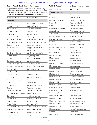#### Case: 20-73750, 12/21/2020, ID: 11936705, DktEntry: 1-8, Page 26 of 39

#### Table 1. Weeds Controlled or Suppressed

Engenia® herbicide will control or suppress the following weeds when used at rates described in Table 2. See additional information about weeds which are known to be resistant to dicamba at www.Resistance-Information.BASF.US.

| <b>Common Name</b>       | <b>Scientific Name</b>     |
|--------------------------|----------------------------|
| <b>Annuals</b>           |                            |
| Alkanet                  | Lithospermum arvense       |
| Amaranth, Palmer         | Amaranthus palmeri         |
| Amaranth, Powell         | Amaranthus powellii        |
| Amaranth, spiny          | Amaranthus spinosus        |
| Aster, slender           | Aster subulatus            |
| Bedstraw, catchweed      | Galium aparine             |
| Beggarweed, Florida      | Desmodium tortuosum        |
| Broomweed, common        | Gutierrezia dracunculoides |
| Buckwheat, tartary       | Fagopyrum tataricum        |
| Buckwheat, wild          | Polygonum convolvulus      |
| <b>Buffalobur</b>        | Solanum rostratum          |
| Burclover, California    | Medicago polymorpha        |
| <b>Burcucumber</b>       | Sicyos angulatus           |
| Buttercup, corn          | Ranunculus arvensis        |
| Buttercup, creeping      | Ranunculus repens          |
| Buttercup, roughseed     | Ranunculus muricatus       |
| Buttercup, western field | Ranunculus occidentalis    |
| Carpetweed               | Mollugo verticillata       |
| Catchfly, nightflowering | Silene noctiflorum         |
| Chamomile, corn          | Anthemis arvensis          |
| Chervil, bur             | Anthriscus caucalis        |
| Chickweed, common        | Stellaria media            |
| Clover                   | Trifolium spp.             |
| Cockle, corn             | Agrostemma githago         |
| Cockle, cow              | Vaccaria pyramidata        |
| Cocklebur, common        | Xanthium strumarium        |
| Copperleaf, hophornbeam  | Acalypha ostryifolia       |
| Cornflower               | Centaurea cyanus           |
| Croton, tropic           | Croton glandulosus         |
| Croton, woolly           | Croton capitatus           |
| Daisy, English           | Bellis perennis            |
| Dragonhead, American     | Dracocephalum parviflorum  |
| Eveningprimrose, cutleaf | Oenothera laciniata        |
| Falseflax, smallseed     | Camelina microcarpa        |
| Fleabane, hairy          | Conyza bonariensis         |

#### Table 1. Weeds Controlled or Suppressed (continued)

| <b>Common Name</b>         | <b>Scientific Name</b>    |
|----------------------------|---------------------------|
| <b>Annuals</b> (continued) |                           |
| Flixweed                   | Descurainia sophia        |
| Fumitory                   | Fumaria officinalis       |
| Goosefoot, nettleleaf      | Chenopodium murale        |
| Hempnettle                 | Galeopsis tetrahit        |
| Henbit                     | Lamium amplexicaule       |
| Horseweed (Marestail)      | Conyza canadensis         |
| Jacob's-ladder             | Polemonium caeruleum      |
| Jimsonweed                 | Datura stramonium         |
| Knawel (German moss)       | Scleranthus annuus        |
| Knotweed, prostrate        | Polygonum aviculare       |
| Kochia <sup>2</sup>        | Kochia scoparia           |
| Ladysthumb                 | Polygonum persicaria      |
| Lambsquarters, common      | Chenopodium album         |
| Lettuce, miner's           | Claytonia perfoliata      |
| Lettuce, prickly           | Lactuca serriola          |
| Mallow, common             | Malva neglecta            |
| Mallow, Venice             | Hibiscus trionum          |
| Mayweed                    | Anthemis cotula           |
| Morningglory, ivyleaf      | Ipomoea hederacea         |
| Morningglory, tall         | Ipomoea purpurea          |
| Mustard, black             | Brassica nigra            |
| Mustard, blue              | Chorispora tenella        |
| Mustard, tansy             | Descurainia pinnata       |
| Mustard, treacle           | Erysimum repandum         |
| Mustard, tumble            | Sisymbrium altissimum     |
| Mustard, wild              | Sinapis arvensis          |
| Mustard, yellowtop         | Sinapis spp.              |
| Nightshade, black          | Solanum nigrum            |
| Nightshade, cutleaf        | Solanum triflorum         |
| Pennycress, field          | Thlaspi arvense           |
| Pepperweed, Virginia       | Lepidium virginicum       |
| Pigweed, prostrate         | Amaranthus blitoides      |
| Pigweed, redroot (rough)   | Amaranthus retroflexus    |
| Pigweed, smooth            | Amaranthus hybridus       |
| Pigweed, tumble            | Amaranthus albus          |
| Pineappleweed              | Matricaria matricarioides |
| Poorjoe                    | Diodia teres              |
| Poppy, red horn            | Glaucium corniculatum     |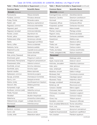#### Case: 20-73750, 12/21/2020, ID: 11936705, DktEntry: 1-8, Page 27 of 39

#### Table 1. Weeds Controlled or Suppressed (continued)

Table 1. Weeds Controlled or Suppressed (continued)

| <b>Common Name</b>         | <b>Scientific Name</b>  | <b>Common Name</b>           | <b>Scientific Name</b>   |
|----------------------------|-------------------------|------------------------------|--------------------------|
| <b>Annuals</b> (continued) |                         | <b>Biennials</b> (continued) |                          |
| Puncturevine               | Tribulus terrestris     | Eveningprimrose, common      | Oenothera biennis        |
| Purslane, common           | Portulaca oleracea      | Geranium, Carolina           | Geranium carolinianum    |
| Pusley, Florida            | Richardia scabra        | Gromwell                     | Lithospermum spp.        |
| Radish, wild               | Raphanus raphanistrum   | Knapweed, diffuse            | Centaurea diffusa        |
| Ragweed, common            | Ambrosia artemisiifolia | Knapweed, spotted            | Centaurea maculosa       |
| Ragweed, giant             | Ambrosia trifida        | Mallow, dwarf                | Malva borealis           |
| Ragweed, lanceleaf         | Ambrosia bidentata      | Plantain, bracted            | Plantago aristata        |
| Rocket, London             | Sisymbrium irio         | Ragwort, tansy               | Senecio jacobaea         |
| Rocket, yellow             | Barbarea vulgaris       | Starthistle, yellow          | Centaurea solstitialis   |
| Rubberweed, bitter         | Hymenoxys odorata       | Sweetclover                  | Melilotus spp.           |
| Salsify                    | Tragopogon porrifolius  | Teasel                       | Dipsacus sativus         |
| Senna, coffee              | Senna occidentalis      | Thistle, bull                | Cirsium vulgare          |
| Sesbania, hemp             | Sesbania exaltata       | Thistle, musk                | Carduus nutans           |
| Shepherd's purse           | Capsella bursa-pastoris | Thistle, plumeless           | Carduus acanthoides      |
| Sicklepod                  | Cassia obtusifolia      | Thistle, variegated (milk)   | Silybum marianum         |
| Sida, prickly (Teaweed)    | Sida spinosa            | Perennials <sup>1</sup>      |                          |
| Smartweed, green           | Polygonum scabrum       | Alfalfa                      | Medicago sativa          |
| Smartweed, Pennsylvania    | Polygonum pensylvanicum | Apple, tropical soda         | Solanum viarum           |
| Sneezeweed, bitter         | Helenium amarum         | Artichoke, Jerusalem         | Helianthus tuberosus     |
| Sowthistle, annual         | Sonchus oleraceus       | Aster, spiny                 | Aster spinosus           |
| Sowthistle, spiny          | Sonchus asper           | Aster, whiteheath            | Aster pilosus            |
| Spanish needles            | Bidens bipinnata        | Bedstraw, smooth             | Gallium mollugo          |
| Spikeweed, common          | Hemizonia pungens       | Bindweed, field              | Convolvulus arvensis     |
| Spurge, prostrate          | Chamaesyce humistrata   | Bindweed, hedge              | Calystegia sepium        |
| Spurry, corn               | Spergula arvensis       | Blueweed, Texas              | Helianthus ciliaris      |
| Starbur, bristly           | Acanthospermum hispidum | Bursage, woollyleaf          | Ambrosia grayi           |
| Starwort, little           | Stellaria graminea      | Buttercup, tall              | Ranunculus acris         |
| Sumpweed, rough            | Iva ciliata             | Campion, bladder             | Silene vulgaris          |
| Sunflower, common (wild)   | Helianthus annuus       | Chickweed, field             | Cerastium arvense        |
| Thistle, Russian           | Salsola iberica         | Chickweed, mouseear          | Cerastium vulgatum       |
| Velvetleaf                 | Abutilon theophrasti    | Chicory                      | Cichorium intybus        |
| Waterhemp                  | Amaranthus tuberculatus | Clover, hop                  | Trifolium aureum         |
| Waterprimrose, winged      | Ludwigia decurrens      | Dandelion, common            | Taraxacum officinale     |
| Wormwood                   | Artemisia annua         | Dock, broadleaf (Bitterdock) | Rumex obtusifolius       |
| <b>Biennials</b>           |                         | Dock, curly                  | Rumex crispus            |
| Burdock, common            | Arctium minus           | Dogbane, hemp                | Apocynum cannabinum      |
| Carrot, wild               | Daucus carota           | Dogfennel (Cypressweed)      | Eupatorium capillifolium |
| Cockle, white              | Melandrium album        | Fern, bracken                | Pteridium aquilinum      |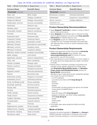#### Case: 20-73750, 12/21/2020, ID: 11936705, DktEntry: 1-8, Page 28 of 39

#### Table 1. Weeds Controlled or Suppressed (continued)

| <b>Common Name</b>                  | <b>Scientific Name</b>    |
|-------------------------------------|---------------------------|
| Perennials <sup>1</sup> (continued) |                           |
| Garlic, wild                        | Allium vineale            |
| Goldenrod, Canada                   | Solidago canadensis       |
| Goldenrod, Missouri                 | Solidago missouriensis    |
| Goldenweed, common                  | Isocoma coronopifolia     |
| Hawkweed                            | Hieracium spp.            |
| Henbane, black                      | Hyoscyamus niger          |
| Horsenettle, Carolina               | Solanum carolinense       |
| Ironweed                            | Vernonia spp.             |
| Knapweed, black                     | Centaurea nigra           |
| Knapweed, Russian                   | Centaurea repens          |
| Lespedeza, sericea                  | Lespedeza cuneata         |
| Milkweed, climbing                  | Sarcostemma cyanchoides   |
| Milkweed, common                    | Asclepias syriaca         |
| Milkweed, honeyvine                 | Ampelamus albidus         |
| Milkweed, western whorled           | Asclepias subverticillata |
| Nettle, stinging                    | Urtica dioica             |
| Nightshade, silverleaf              | Solanum elaeagnifolium    |
| Onion, wild                         | Allium canadense          |
| Plantain, broadleaf                 | Plantago major            |
| Plantain, buckhorn                  | Plantago lanceolata       |
| Pokeweed                            | Phytolacca americana      |
| Ragweed, western                    | Ambrosia psilostachya     |
| Redvine                             | Brunnichia ovata          |
| Smartweed, swamp                    | Polygonum coccineum       |
| Snakeweed, broom                    | Gutierrezia sarothrae     |
| Sorrel, red (Sheep sorrel)          | Rumex acetosella          |
| Sowthistle, perennial               | Sonchus arvensis          |
| Spurge, leafy                       | Euphorbia esula           |
| Sundrop                             | Oenothera perennis        |
| Thistle, Canada                     | Cirsium arvense           |
| Thistle, Scotch                     | Onopordum acanthium       |
| Toadflax, Dalmatian                 | Linaria genistifolia      |
| Trumpetcreeper                      | Campsis radicans          |
| Vetch                               | Vicia spp.                |
| Waterhemlock, spotted               | Cicuta maculata           |
| Waterprimrose, creeping             | Ludwigia peploides        |
| Woodsorrel, creeping                | Oxalis corniculata        |
| Woodsorrel, yellow                  | Oxalis stricta            |

#### Table 1. Weeds Controlled or Suppressed (continued)

| <b>Common Name</b>                  | <b>Scientific Name</b>     |
|-------------------------------------|----------------------------|
| Perennials <sup>1</sup> (continued) |                            |
| Wormwood, Louisiana                 | Artemisia Iudoviciana      |
| Yankeeweed                          | Eupatorium compositifolium |
| Yarrow, common                      | Achillea millefolium       |
| <sup>1</sup> Suppression only.      |                            |

2 Except dicamba resistant.

#### Product Stewardship Recommendations

- Apply **Engenia<sup>®</sup> herbicide** to weeds 4 inches or less in size for best performance.
- Apply **Engenia** at the labeled rate to minimize the likelihood of weed resistance occurring. See Crop-specific Information for labeled rates by crop.
- Use Engenia as part of a herbicide program that includes the use of residual herbicides and herbicides with alternate sites of action to reduce resistance selection pressure.

#### Product Stewardship Requirements

- Select only approved nozzles that produce extremely coarse to ultra-coarse spray droplets. See www.engeniatankmix.com for the list of nozzles approved for use with this product.
- Use manufacturer's recommendation for boom height or 24 inches above the target pest/crop height, whichever is smaller.
- Identify areas of sensitive nontarget crops/plants and maintain proper setback distance from these areas (see Downwind Spray Buffer Areas and Sensitive Crops, Areas and Residential Areas sections for **Spray Buffer requirements).**

Sensitive crops in agricultural and/or residential settings can include, but are not limited to:

- non-DT soybeans
- cucumber and melons (EPA Crop Group 9)
- flowers
- fruit trees
- grapes
- ornamentals including greenhouse-grown and shade house-grown broadleaf plants
- peanuts
- peas and beans (EPA Crop Group 6)
- peppers, tomatoes, and other fruiting vegetables (EPA Crop Group 8)
- potato
	- sweet potato
	- tobacco
- Thoroughly clean spray equipment before and after application.

#### Mode of Action

Dicamba, the active ingredient in **Engenia**, is a **Group 4** (WSSA) herbicide. Herbicides in this group mimic auxin (a plant hormone) resulting in a hormone imbalance in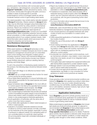#### Case: 20-73750, 12/21/2020, ID: 11936705, DktEntry: 1-8, Page 29 of 39

sensitive plants that interferes with normal plant growth (e.g. cell division, cell enlargement, and protein synthesis). **Engenia<sup>®</sup> herbicide** is readily absorbed by leaves, roots, and shoots; translocates throughout the plant; and accumulates in areas of active growth to provide postemergence control of emerged weeds as well as moderate residual control of germinating weed seeds.

Any weed population may contain plants naturally resistant to Group 4 herbicides. Weeds resistant to Group 4 herbicides may be effectively managed using herbicide(s) from a different group and/or by using cultural or mechanical practices. Report any incidence of non-performance of this product against a particular weed species at

www.EngeniaQuestions.com. Consult your local BASF representative, state cooperative extension service, professional consultants, or other qualified authority to determine appropriate actions if you suspect resistant weeds. Additional information about weeds which are known to be resistant to dicamba can be found at

#### www.Resistance-Information.BASF.US.

#### Resistance Management

While weed resistance to Group 4 herbicides is infrequent, populations of resistant biotypes are known to exist. Resistance management should be part of a diversified weed control strategy that integrates multiple options including chemical, cultural, and mechanical (tillage) control tactics. Cultural control tactics include crop rotation, proper fertilizer placement, optimum seeding rate/row spacing, and timely tillage.

To aid in the prevention of developing weeds resistant to this product, the following steps should be followed where practical:

- Start clean with tillage or an effective burndown herbicide program.
- **DO NOT** rely on a single herbicide site of action for weed control during the growing season.
- Scout fields before application to ensure herbicides and rates will be appropriate for the weed species and weed sizes present.
- Apply full labeled rates of **Engenia** for the most difficultto-control weed in the field at the specified time (correct weed size) to minimize weed escapes. See Cropspecific Information for labeled rates by crop.
- Use of preemergence herbicides that provide soil residual control of broadleaf and grass weeds is recommended to reduce early season weed competition and allow for more timely in-crop postemergence herbicide applications.
- Avoid application of herbicides with the same site of action more than twice a season.
- Scout fields after application to detect weed escapes or shifts in weed species.
- Indicators of possible herbicide resistance include: (1) failure to control a weed species normally controlled by the herbicide at the dose applied, especially if control is achieved on adjacent weeds; (2) a spreading patch of non-controlled plants of a particular weed species; (3) surviving plants mixed with controlled individuals of the same species.
- Report any incidence of non-performance of this product against a particular weed species to your BASF retailer, representative or online at www.EngeniaQuestions.com.
- If resistance is suspected, treat weed escapes with a herbicide having a mode of action other than Group 4 and/or use non-chemical methods to remove escapes, as is practical, with the goal of preventing further seed production.
- For more information about weeds that are known to be resistant to dicamba go to www.Resistance-Information.BASF.US.

Additionally, users should follow as many of the following herbicide resistance management practices as is practical:

- Use a broad spectrum soil-applied herbicide with other modes of action as a foundation in a weed control program.
- Utilize sequential applications of herbicides with alternative modes of action.
- Rotate the use of this product with non-Group 4 herbicides.
- Avoid making more than two applications of **Engenia** and any other Group 4 herbicides within a single growing season unless mixed with another mechanism of action with an overlapping spectrum for the difficult-to-control weeds.
- Incorporate non-chemical weed control practices, such as mechanical cultivation, crop rotation, cover crops and weed-free crop seeds, as part of an integrated weed control program.
- Thoroughly clean plant residues from equipment before and after leaving fields suspected to contain resistant weeds.
- Manage weeds in and around fields during and after harvest to reduce weed seed production.
- Contact the local agricultural extension service, BASF representative, ag retailer or crop consultant for further guidance on weed control practices as needed.

#### Crop Tolerance

Crops growing under normal environmental conditions are tolerant to **Engenia** when applied according to label directions. Crop injury may occur under stressful growing conditions (e.g. low soil fertility, seedling disease, extreme hot or cold weather, excessive moisture, high soil pH, high soil salt concentration, drought).

#### Application Instructions

Apply **Engenia** by ground to actively growing weeds as a band or broadcast spray application for postemergence control of emerged weeds as well as moderate residual control of germinating weed seeds.

Make postemergence applications of **Engenia** when broadleaf weeds are small and actively growing. An adjuvant is recommended with **Engenia** for best postemergence activity; refer to Tank Mixing Information section and Crop-specific Information sections for details. Postemergence activity may be slowed or reduced under cloudy and/ or foggy or cooler weather conditions, or when weeds are growing under drought or other stress conditions. When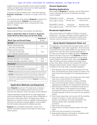#### Case: 20-73750, 12/21/2020, ID: 11936705, DktEntry: 1-8, Page 30 of 39

targeting dense weed populations and/or larger broadleaf weeds, use higher spray volumes and a higher application rate within an application rate range.

Cultivation should be delayed until 7 days after applying **Engenia<sup>®</sup> herbicide** or a reduction in weed control may occur.

Use extreme care when applying **Engenia** to prevent injury to desirable plants. **Engenia** may cause injury to desirable sensitive plants when contacting their roots, stems, or foliage.

#### Application Rates

Always read and follow crop-specific use directions.

#### Table 2. Application Rate to Control or Suppress Target Weed by Weed Type and Growth Stage

| <b>Weed Type and Growth Stage</b>                                                      | Rate/Acre <sup>2</sup><br>(fl ozs) |  |  |
|----------------------------------------------------------------------------------------|------------------------------------|--|--|
| Annual                                                                                 |                                    |  |  |
| Small, actively growing<br>(less than 4-inches tall)                                   | 12.8                               |  |  |
| Small, actively growing<br>(less than 4-inches tall)<br>plus moderate residual control | 12.8                               |  |  |
| <b>Biennial</b>                                                                        |                                    |  |  |
| Rosette diameter 1 to 3 inches                                                         | 12.8                               |  |  |
| Rosette diameter more than 3 inches                                                    | 12.8                               |  |  |
| Perennial <sup>1</sup>                                                                 |                                    |  |  |
| Top growth suppression                                                                 | 12.8                               |  |  |
| Top growth control and root suppression                                                | 12.8                               |  |  |
| <sup>1</sup> Engenia will suppress the top growth of herbaceous perennials and         |                                    |  |  |

can be combined with other approved herbicides to improve control. <sup>2</sup> DO NOT broadcast-apply more than 12.8 fl ozs/A per application. Retreatment or tank mixes may be necessary for best control of some weeds. However, sequential applications must not exceed a maximum cumulative total of 51.2 fl ozs/A of **Engenia** (2 lbs dicamba ae/A) per year.

#### Application Methods and Equipment

Apply **Engenia** by ground. Thorough spray coverage is important for best broadleaf weed control and can be improved with adjuvant, nozzle, and spray volume selection.

Calibrate application equipment for accurate target spray volume and application rate to ensure uniform distribution of spray and to avoid spray drift to nontarget areas. Adjust equipment to maintain continuous agitation during spraying with good mechanical or bypass agitation. Avoid overlaps that will increase rates above the labeled use rates.

**Engenia** may be applied using water; consult cropspecific information sections of this label for other spray carrier options.

#### Ground Application

#### Banding Applications

When applying **Engenia** by banding, use the following formula to calculate the amount of herbicide and water volume needed:

| Bandwidth in inches | <b>Broadcast</b> | Banding herbicide |
|---------------------|------------------|-------------------|
| Row width in inches | rate per acre    | rate per acre     |
|                     |                  |                   |
| Bandwidth in inches | <b>Broadcast</b> | Banding water     |
| Row width in inches | volume per acre  | volume per acre   |

#### Broadcast Applications

Use a spray volume of 15 gallons of water or more per treated acre. Thorough coverage of existing vegetation is essential for postemergence applications; higher spray volumes may be necessary for optimum performance.

#### Spray System Equipment Clean-out

The applicator must ensure that the spray system used to apply **Engenia** is clean before application. Small amounts of residual ammonium sulfate (AMS) that may remain in the sprayer from uses other than dicamba applications in DT crops can increase the volatility potential of **Engenia**. Severe crop injury may occur if any **Engenia** remains in the spray equipment following application and is subsequently applied to sensitive crops. After using **Engenia**, clean all mixing and spray equipment (including tanks, pumps, lines, filters, screens, and nozzles) with a strong detergent based sprayer cleaner. Dispose of rinsate in compliance with local, state, and federal guidelines.

- 1. After spraying, drain the sprayer (including boom and lines). Avoid allowing the spray solution to remain in the spray boom lines overnight or for extended periods of time.
- 2. Flush tank, hoses, boom, and nozzles with clean water. Open boom ends and flush if so equipped.
- 3. Inspect and clean all strainers, screens, and filters.
- 4. Use commercial sprayer cleaner containing strong detergents according to the manufacturer's directions.
- 5. Wash all parts of the tank, including the inside top surface. Start agitation in the sprayer and thoroughly recirculate the cleaning solution for at least 15 minutes. All visible deposits must be removed from the spraying system.
- 6. Flush hoses, spray lines, and nozzles with the cleaning solution for at least 1 minute. Remove nozzles, screens, and strainers, and clean separately in the cleaning solution after completing the above procedure.
- 7. Drain pump, filter, and lines.
- 8. Triple rinse the complete spraying system with clean water.
- 9. Clean and rinse the exterior of the sprayer.
- 10. Appropriately dispose of all rinsate in compliance with local, state, and federal requirements.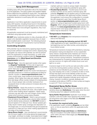#### Spray Drift Management

Avoiding spray drift at the application site is the responsibility of the applicator. The spray system and weather-related factors determine the potential for spray drift. The applicator is responsible for considering these factors when making application decisions to avoid spray drift onto nontarget areas.

Applicators must follow application requirements to avoid spray drift hazards, including those found in this labeling and applicable state and local regulations and ordinances. Where states have more stringent regulations, they must be observed.

All application equipment must be properly maintained and calibrated using appropriate carriers.

DO NOT allow herbicide solution to drip, physically drift, or splash onto desirable vegetation because injury to desirable broadleaf plants could result. The following physical spray drift management requirements must be followed.

#### Controlling Droplets

Drift potential may be reduced by applying large droplets that provide sufficient coverage and control. Applying larger droplets can reduce drift potential, but will not prevent drift if the application is made improperly, or under unfavorable environmental conditions (see the Temperature Inversions and the Wind Speed and Direction Requirements sections).

- Nozzle Type Use only approved nozzles when applying **Engenia<sup>®</sup> herbicide**. To find a list of approved nozzles visit www.engeniatankmix.com no more than seven days prior to applying **Engenia**.
- Pressure DO NOT exceed the nozzle manufacturer's specified pressures or maximum pressures as listed for specific nozzles on www.engeniatankmix.com. For many nozzle types, lower pressure produces larger droplets. When higher flow rates are needed, use higher flow rate (large orifice) nozzles instead of increasing pressure. Ensure sprayer rate controller hardware (if so equipped) does not allow pressure increases above the desired range.
- Spray Volume Apply this product in a minimum of 15 gallons of spray solution per acre. Use a higher spray volume when treating dense vegetation. Higher spray volumes may also allow the use of larger nozzle orifices (sizes) which produce coarser spray droplets.
- **Equipment Ground Speed** Select a ground speed that will deliver the desired spray volume while maintaining the desired spray pressure, but **DO NOT** exceed a ground speed of 15 miles per hour. Slower speeds generally result in better spray coverage and deposition on the target area. It is recommended that ground speed be reduced to 5 miles per hour when making applications to the edge of the treatment area.
- Spray Boom Height Use manufacturer's recommendation for boom height or 24 inches above the target pest/ crop height, whichever is smaller. Automated boom height controllers are recommended with large booms to better

maintain optimum nozzle to canopy height. Excessive boom height will increase the potential for spray drift.

• Hooded Spray Booms - Hooded spray booms are another tool that can be used to minimize spray drift potential. **Engenia** may be applied using a hooded spray boom in combination with approved nozzles; however, the applicator must ensure the configuration is compatible with equipment used. See Hooded Spray Boom section at www.engeniatankmix.com for additional options for using an approved hooded spray boom with **Engenia.** When using an approved hooded spray boom, listed on the www.engeniatankmix.com website, the required down wind spray buffer distance in DT soybeans may be reduced to 110 feet.

#### Temperature Inversions

- DO NOT apply Engenia when temperature inversions exist at the field level.
- Apply only during the following period: DO NOT make applications at night. Applications are only permitted beginning one hour after sunrise, and ending two hours before sunset.

Temperature inversions increase drift potential by reducing atmospheric mixing and dispersion of any suspended spray mixture. Suspended spray residues can move in unpredictable directions because of the light, variable winds common during inversions. Temperature inversions are characterized by increasing temperatures with altitude and are common on nights with limited cloud cover and light-to-no wind.

Inversions begin to form as the sun sets and often continue into the morning before surface warming. Their presence can be indicated by ground fog, smoke not rising, dust hanging over a road, or presence of dew or frost. Smoke that layers and moves laterally (under low wind conditions) indicates an inversion, while smoke that moves upward and rapidly dissipates indicates good vertical air mixing. Inversion conditions typically dissipate with increased winds (above 3 MPH) or when surface air begins to warm (3° F from morning low).

#### Downwind Spray Buffer Areas

Apply **Engenia** only when there is low potential for drift to sensitive areas (see **Definitions**). Only apply when the wind is blowing away from adjacent sensitive areas.

**Spray Buffer Requirement: Applicator must always** maintain a 240 foot buffer when applying this product from the downwind outer edges of the field (see **Hooded** Spray Booms section).

#### To maintain the required buffer zone:

- No application swath containing **Engenia** can be initiated in, or into an area that is within the applicable buffer distance.
- Nonsensitive Crops and Areas (see Definitions) May be included in the buffer distance determination when within 240 feet of field edges (see Hooded Spray Booms section).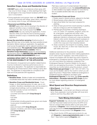#### Case: 20-73750, 12/21/2020, ID: 11936705, DktEntry: 1-8, Page 32 of 39

#### Sensitive Crops, Areas and Residential Areas

- DO NOT apply under circumstances where spray drift may occur to food, forage, or other plantings that might be damaged or the crops thereof rendered unfit for sale, use or consumption.
- During application and sprayer clean-out, DO NOT allow contact of herbicide with foliage, green stems, exposed non-woody roots of crops, and desirable plants.
- Downwind and Shifting Winds
	- DO NOT apply when wind is blowing in the direction of adjacent sensitive crops or residential areas.
	- The applicator also must be aware that **WIND DIRECTION** may vary during the application. If wind direction shifts such that the wind is blowing toward adjacent sensitive crops or residential areas, **STOP** the application.

**Survey the area before spraying: Small amounts of** spray drift that may not be visible may injure sensitive broadleaf plants. Before making an application, the applicator must survey the application site for adjacent sensitive crops and residential areas. The applicator must consult sensitive crop registries where available. Refer to **Sensitive Crops Awareness** section for record keeping requirements within the RESTRICTED USE PESTICIDE RECORD KEEPING REQUIREMENTS section.

#### AVOIDING SPRAY DRIFT AT THE APPLICATION SITE IS THE RESPONSIBILITY OF THE APPLICATOR.

The interaction of equipment and weather related factors must be monitored to maximize performance and ontarget spray deposition. The applicator is responsible for considering all of these factors when making a spray decision. The applicator is responsible for compliance with state and local pesticide drift regulations.

#### **Definitions**

- Sensitive Areas Bodies of water and nonresidential, uncultivated areas that may harbor sensitive plant species.
- Sensitive Crops and Residential Areas Food, forage, or other plantings grown for sale, use or consumption. Sensitive crops/plants also can be present in nonagricultural settings, such as residential areas. Examples include, but are not limited to:
- non-DT soybeans
- cucumber and melons (EPA Crop Group 9)
- flowers
- fruit trees
- grapes
- ornamentals including greenhouse-grown and shade house-grown broadleaf plants
- peanuts
- peas and beans (EPA Crop Group 6)
- peppers, tomatoes, and other fruiting vegetables (EPA Crop Group 8)
- potato
- sweet potato
- tobacco

Plant injury could occur if contact between this product and these crops/plants occurs. See www.driftwatch.org or other sensitive crop registry websites for more information on possible sensitive sites near your application location.

#### • Nonsensitive Crops and Areas

- 1. Roads, paved or gravel surfaces, adjacent to the field.
- 2. Mowed grassy areas adjacent to the field.
- 3. Agricultural fields that have been prepared for planting.
- 4. Areas of bare ground from recent plowing or grading that are contiguous with the treated field.
- 5. Planted agricultural fields containing asparagus, corn, DT cotton, DT soybeans, sorghum, proso millet, small grains, sugarcane and other crops approved for postemergence dicamba use. If the applicator intends to include such crops as dicamba tolerant cotton and/or dicamba tolerant soybeans in the buffer distance calculation, the applicator must confirm the crops are in fact dicamba tolerant.
- 6. Areas covered by the footprint of a building, shade house, silo, feed crib, or other man-made structure with walls and or roof.

Additional restrictions for the protection of specific sensitive areas may be required when making applications to DT cotton and DT soybeans. Use of this product in a manner inconsistent with the label may pose a hazard to endangered or threatened species. When using this product, you must follow the measures contained in the Endangered Species Protection Bulletin for the area in which you are applying the product. To obtain Bulletins, no more than six months before using this product, consult http://www.epa.gov/espp/ or call 1-844-447-3813. You must use the Bulletin valid for the month in which you will apply the product. Please Note: Additional endangered or threatened species obligations are listed under Endangered Species on this label. See Crop-specific Information – Dicamba-tolerant (DT) Crops section for more details regarding protection of endangered species.

#### Wind Speed and Direction Requirements

- Wind Speed 3 to 10 mph
- Wind Direction Local terrain can influence wind patterns. Every applicator must be familiar with local wind patterns and how they affect drift.

#### Tank Mixing Information

**Engenia<sup>®</sup> herbicide** may only be tank mixed with products that have been tested and found by the EPA not to have an unreasonable adverse effect on the spray drift properties of **Engenia**. A list of those EPA approved products may be found at www.engeniatankmix.com. DO NOT tank mix any product with Engenia unless:

1. You check the list of EPA approved products for use with **Engenia at www.engeniatankmix.com** no more than 7 days before applying **Engenia**; and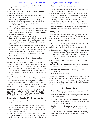#### Case: 20-73750, 12/21/2020, ID: 11936705, DktEntry: 1-8, Page 33 of 39

- 2. The intended product tank mix with **Engenia<sup>®</sup>** herbicide is identified on that list of tested and approved products; and
- 3. The intended product to be tank mixed with **Engenia** is not prohibited on this label.
- 4. Mandatory Use of an approved pH buffering adjuvant product and minimum use rate, such as Sentris<sup>™</sup> **Buffering Technology** is required. A list of EPA approved pH buffering adjuvants and required minimum use rates may be found at www.engeniatankmix.com.
- 5. Some COC, HSOC and MSO adjuvants may cause a temporary crop response.
- 6. DO NOT tank mix products containing ammonium salts such as ammonium sulfate and urea ammonium nitrate (UAN) unless specifically approved for use with **Engenia** at www.engeniatankmix.com.
- 7. Hard water does not usually affect the activity of **Engenia.** Use of an approved conditioning agent should be considered when hard water (i.e. total calcium, magnesium, and iron content above 500 ppm) is used as a spray carrier.
- 8. Drift reduction adjuvants listed on the website above can minimize the percentage of driftable fines. However, the applicator must check with the DRA manufacturer to determine if the approved DRA will work effectively with the spray nozzle, the spray pressure, and the desired spray solution.

For an up to date and complete list of approved tank mix options with Engenia, visit www.engeniatankmix.com.

It is the pesticide user's responsibility to ensure that all products are registered for the intended use. Read and follow the applicable restrictions and limitations and directions for use on all product labels involved in tank mixing. Users must follow the most restrictive directions for use and precautionary statements of each product in the tank mixture.

Mixing **Engenia** with postemergence grass (graminicide) herbicides may reduce the effectiveness of those products. Follow graminicide label when mixing with **Engenia** to ensure optimum weed control. Physical incompatibility, reduced weed control, or crop injury may result from mixing **Engenia** with other pesticides, additives, nutritionals, etc.

Adjuvants. BASF recommends the use of quality adjuvants with Engenia such as Astonish™, Class Act<sup>®</sup> Ridion®, Grounded®, Iconic®, Jackhammer™ Elite, R-11<sup>®</sup>, Strike Force<sup>®</sup>, and Verifact.

#### Compatibility Test for Mix Components

Before mixing components, always perform a compatibility jar test.

- 1. For 20 gallons per acre spray volume, use 3.3 cups (800 mL) of water. For other spray volumes, adjust rates accordingly. Only use water from the intended source at the source temperature.
- 2. Add components in the sequence indicated in the following Mixing Order instructions using 2 teaspoons for each pound or 1 teaspoon for each pint of labeled use rate per acre.
- 3. Cap the jar and invert 10 cycles between component additions.
- 4. When the components have all been added to the jar, let the solution stand for 15 minutes.
- 5. Evaluate the solution for uniformity and stability. The spray solution should not have free oil on the surface; fine particles that precipitate to the bottom; or thick (clabbered) texture. If the spray solution is not compatible, repeat the compatibility test with the addition of a suitable compatibility agent. If the solution is then compatible, use the compatibility agent as directed on its label. If the solution is still incompatible, **DO NOT** mix the ingredients in the same tank.

#### Mixing Order

Make sure each component is thoroughly mixed and suspended before adding tank mix partners. Except when mixing products in PVA bags, maintain constant agitation during mixing and application.

- 1. Water Begin by agitating a thoroughly clean sprayer tank 1/2 to 3/4 full of clean water.
- 2. **Inductor** If an inductor is used, rinse it thoroughly after each component has been added.
- 3. Products in PVA bags Place any product contained in water-soluble PVA bags into the mixing tank. Wait until all water-soluble PVA bags have fully dissolved and the product is evenly mixed in the spray tank before continuing.
- 4. Water-soluble products and additives (Engenia, Sentris)
- 5. Water-dispersible products (such as dry flowables, wettable powders, suspension concentrates, or suspo-emulsions)
- 6. Emulsifiable concentrates (including NIS and oil concentrate)
- 7. Remaining quantity of water

Maintain continuous and constant agitation throughout mixing and application until spraying is completed. If the spray mixture is allowed to settle for any period of time, thorough agitation is essential to resuspend the mixture before spraying is resumed. Continue agitation while spraying.

#### Use Precautions

- Stress Application to crops under stress because of lack of moisture, hail damage, flooding, herbicide injury, mechanical injury, or widely fluctuating temperatures may result in crop injury.
- Use caution when tank mixing **Engenia** with approved emulsifiable concentrates (EC) or oil-based products that may increase the potential for crop injury.
- Rainfast Period Engenia is rainfast 4 hours after application and weed control performance should not be reduced if unexpected rain or unintended irrigation occurs within 4 hours after application. DO NOT apply **Engenia** if rain is expected within 48 hours after application.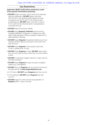#### Use Restrictions

#### Applicator MUST ALSO follow restrictions under Crop-specific Information section(s).

- DO NOT apply more than 12.8 fl ozs/A (0.5 lb dicamba ae/A) per application. **DO NOT** apply more than 25.6 fl ozs/A (1.0 lb dicamba ae/A) preplant and preemergence and 25.6 fl ozs/A (1.0 lb dicamba ae/A) postemergence. **DO NOT** apply more than a total of 51.2 fl ozs/A (2.0 lbs dicamba ae/A) in all applications combined per year.
- DO NOT apply this product aerially.
- DO NOT apply Engenia<sup>®</sup> herbicide with ammoniumcontaining additives, conditioners, or fertilizers (e.g. AMS, UAN). Small quantities of AMS can greatly increase the volatility potential of dicamba.
- DO NOT apply Engenia if expected rainfall amount may exceed soil field capacity and result in soil runoff in the next 48 hours.
- DO NOT apply Engenia if wind speed is less than 3 mph or greater than 10 mph.
- DO NOT apply Engenia at night. DO NOT apply earlier than one hour after sunrise or later than two hours before sunset.
- **DO NOT** contaminate irrigation ditches or water used for domestic purposes.
- DO NOT apply Engenia through any type of irrigation system (e.g. chemigation).
- DO NOT tank mix **Engenia** with any product not found in the approved list at www.engeniatankmix.com.
- In DT cotton, DO NOT apply Engenia later than July 30.
- In DT soybeans, **DO NOT** apply **Engenia** later than June 30.
- DO NOT apply DT cotton harvest aid application of **Engenia** within 7 days of harvest.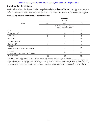#### Crop Rotation Restrictions

Use the following information to determine the required interval between **Engenia<sup>®</sup> herbicide** application and rotational crop planting as well as replanting after crop failure because of environmental factors such as drought, frost, or hail. Determine the rotational crop interval for tank mix products and use the most restrictive interval of all products applied.

#### Table 3. Crop Rotation Restrictions by Application Rate

|                                                                  | <b>Engenia</b><br>$(fl \ ozs/A)$                                  |           |          |
|------------------------------------------------------------------|-------------------------------------------------------------------|-----------|----------|
| Crop                                                             | $\leq 6.4$                                                        | 9.6       | 12.8     |
|                                                                  | Rotational Crop Interval <sup>1</sup><br>(days after application) |           |          |
| Corn                                                             | $\Omega$                                                          | $\bigcap$ | $\Omega$ |
| Cotton, non-DT <sup>2</sup>                                      | $21^{+}$                                                          | 28        | 42       |
| Cotton, DT                                                       | $\overline{0}$                                                    | $\Omega$  | $\Omega$ |
| Sorghum                                                          | 14                                                                | 21        | 28       |
| Soybean, non-DT <sup>2</sup>                                     | 14                                                                | 21        | 28       |
| Soybean, DT                                                      | $\overline{0}$                                                    | $\Omega$  | $\Omega$ |
| Grasses <sup>3</sup><br>30 inches or more annual precipitation   | 14                                                                | 21        | 28       |
| Grasses <sup>3</sup><br>less than 30-inches annual precipitation | 21                                                                | 28        | 42       |
| All other crops                                                  | 120                                                               | 120       | 120      |

<sup>1</sup> DO NOT include time when the soil is frozen and days before receiving any required rainfall or overhead irrigation.

<sup>2</sup> Following application of Engenia and a minimum accumulation of 1 inch of rainfall or overhead irrigation, observe the indicated waiting interval. <sup>3</sup> Includes barley, oats, wheat, and other grass crops. Small grains may be planted with no waiting interval following **Engenia** applied at 3.2 fl ozs/A. † Missouri and Tennessee Only. Following application of Engenia, wait until an accumulation of 1 inch of rainfall or irrigation followed by an interval of 14 days per 6.4 fl ozs/A or less before planting cotton. This interval must be observed before planting cotton or severe crop injury may occur.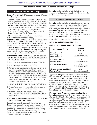#### Crop-specific Information – Dicamba-tolerant (DT) Crops

#### Dicamba-tolerant (DT) Crops

**Engenia<sup>®</sup> herbicide** is EPA approved for use in DT crops in the following states:

Alabama, Arizona, Arkansas, Colorado, Delaware, Florida (excluding Palm Beach County), Georgia, Illinois, Indiana, Iowa, Kansas, Kentucky, Louisiana, Maryland, Michigan, Minnesota, Mississippi, Missouri, Nebraska, New Jersey, New Mexico, New York, North Carolina, North Dakota, Ohio, Oklahoma, Pennsylvania, South Carolina, South Dakota, Tennessee (excluding Wilson County), Texas, Virginia, West Virginia, Wisconsin.

Within the above listed states, **Engenia** is subject to area-specific restrictions as required by

http://www.epa.gov/espp/ that must be consulted prior to making an **Engenia** application in DT cotton and DT soybeans. Prior to making an **Engenia** application in DT cotton or DT soybeans, an applicator must visit http://www.epa.gov/espp/ to determine if there are any additional restrictions on **Engenia** use within the area to be sprayed. Nonsensitive areas defined below may be included as part of the required buffer distance.

Nonsensitive areas - The following areas may be included in the buffer distance calculation when directly adjacent to the treated field edges:

- 1. Roads, paved or gravel surfaces, adjacent to the field.
- 2. Mowed grassy areas adjacent to the field.
- 3. Planted agricultural fields containing: corn, dicamba tolerant cotton, dicamba tolerant soybean, sorghum, proso millet, small grains, sugarcane and other crops approved for postemergence dicamba use. If the applicator intends to include such crops as dicamba tolerant cotton and/or dicamba tolerant soybeans in the buffer distance calculation, the applicator must confirm the crops are in fact dicamba tolerant.
- 4. Agricultural fields that have been prepared for planting.
- 5. Areas of bare ground from recent plowing or grading that are contiguous with the treated field.
- 6. Areas covered by the footprint of a building, shade house, silo, feed crib, or other man-made structure with walls and or roof.

#### The following directions are specific for Engenia use in DT cotton and DT soybeans.

Depending on specific crop application directions, **Engenia** may be applied for postemergence control of emerged broadleaf weeds and/or residual control of germinating broadleaf weed seeds before crop planting (preplant and/or preseed) and after planting (preemergence, postemergence). Refer to Table 1 for list of weeds controlled or suppressed.

**Engenia** may be applied preplant, at-planting, preemergence, and postemergence (in-crop) for weed control in DT cotton and DT soybeans.

#### Dicamba-tolerant (DT) Cotton

**Engenia** may be applied preplant surface, preemergence, or postemergence (over the top) by ground only to control or suppress many annual, biennial, and perennial broadleaf weeds (see Table 1) in dicamba-tolerant (DT) cotton. If **Engenia** is applied to non-dicamba-tolerant cotton other than as directed, severe crop injury will result. For non-dicamba-tolerant cotton information, see Cotton section in Crop-specific Information section.

Cotton gin byproducts may be fed to livestock.

#### Application Rates and Timings

#### Maximum Application Rates in DT Cotton

| <b>Application Timing</b>                                             | Amount<br>(fl $OZS/A$ )        |
|-----------------------------------------------------------------------|--------------------------------|
| <b>Single Preplant</b><br><b>Preemergence</b><br><b>Postemergence</b> | 128<br>$(0.5$ lb dicamba ae/A) |
| <b>Total Preplant and</b><br><b>Preemergence</b>                      | 25 R<br>(1 lb dicamba ae/A)    |
| <b>Total Postemergence</b>                                            | 25.6<br>(1 lb dicamba ae/A)    |
| <b>All Applications Combined</b><br><b>Total per Year</b>             | 51.2<br>(2 lbs dicamba ae/A)   |

Application of **Engenia** may be made before and after cotton emergence. Separate sequential applications by 7 days or more. For best performance, apply **Engenia** when weeds are less than 4 inches in height and rosettes are less than 2-inches across. Timely application will improve control and reduce weed competition. Apply preplant, preemergence, and postemergence to DT cotton only by ground. **DO NOT** apply more than 51.2 fl ozs/A of **Engenia** per year (single growing season).

#### Preplant and Preemergence Applications

**Engenia** can be applied at 12.8 fl ozs/A before, during, or after planting DT cotton. **Engenia** will provide burndown of emerged weeds. Apply as a sequential application with other preemergence herbicides to control emerged grass weeds and other broadleaf weeds, and with a preemergence residual herbicide to control germinating weed seeds. Early season weed control is critical for minimizing weed competition and protecting crop yield potential.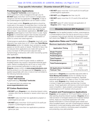#### Crop-specific Information – Dicamba-tolerant (DT) Crops (continued)

#### Postemergence Applications

Apply **Engenia<sup>®</sup> herbicide** postemergence at 12.8 fl ozs/A from cotton emergence through July 30. **DO NOT** apply more than 12.8 fl ozs/A in a single postemergence over-the-top application of **Engenia**. A total of two postemergence applications can be made in cotton.

For best weed control, **Engenia** applications should be made early in the season to small (less than 4-inches tall), actively growing weeds. Sequential postemergence applications may be necessary to control new weed flushes. Allow at least 7 days between applications. DO NOT apply **Engenia** postemergence more than twice in a year. Apply **Engenia** in a herbicide program that includes sequential application of herbicides with a different mechanism of action to control new weed regrowth.

Postemergence applications of **Engenia** mixed with some adjuvants may cause injury to DT cotton (see Tank Mixing **Information** section for details). Injury symptoms usually appear as necrotic spots on leaves. Potential for injury may be reduced when applications are made with spray volumes of at least 15 GPA and lower adjuvant rates. Symptomology is temporary with cotton recovering quickly after application.

#### Use with Other Herbicides

Broad-spectrum control of grass weeds or additional broadleaf weeds may require a sequential herbicide application. Before considering the use of one or more of the below recommended herbicides in a tank mix with Engenia, please confirm at www.engeniatankmix.com that the product is on the approved list. Engenia may be applied sequentially with one or more of, but not limited to, the following herbicide products:

- Outlook® herbicide
- Prowl® H2O herbicide
- glyphosate (e.g. Roundup® herbicide)

For approved tank mix options see www.engeniatankmix.com.

#### DT Cotton Restrictions

- DO NOT apply Engenia to non-dicamba-tolerant cotton varieties other than as directed or severe cotton injury will occur.
- DO NOT make more than two applications preplant or preemergence per year.
- **DO NOT** apply more than 12.8 fl ozs/A (0.5 lb ae/A) per preplant or preemergence application.
- DO NOT make more than two applications postemergence per year.
- **DO NOT** apply more than 12.8 fl ozs/A (0.5 lb ae/A) per postemergence application.
- DO NOT apply Engenia later than July 30.
- DO NOT apply more than 51.2 fl ozs/A (2 lbs ae/A) per year.
- DO NOT apply DT cotton harvest aid application of **Engenia** within 7 days of harvest.

#### Dicamba-tolerant (DT) Soybean

**Engenia** may be applied preplant surface, preemergence, or postemergence (over the top) by ground only to control or suppress many annual, biennial, and perennial broadleaf weeds (see Table 1) in dicamba-tolerant (DT) soybean.

#### Application Rates and Timings

#### Maximum Application Rates in DT Soybean

| <b>Application Timing</b>                                             | Amount<br>(fl $OZS/A$ )         |
|-----------------------------------------------------------------------|---------------------------------|
| <b>Single Preplant</b><br><b>Preemergence</b><br><b>Postemergence</b> | 12.8<br>$(0.5$ lb dicamba ae/A) |
| <b>Total Preplant and</b><br><b>Preemergence</b>                      | 25.6<br>(1 lb dicamba ae/A)     |
| <b>Total Postemergence</b>                                            | 25.6<br>(1 lb dicamba ae/A)     |
| <b>All Applications Combined</b><br><b>Total per Year</b>             | 51.2<br>(2 lbs dicamba ae/A)    |

Application of **Engenia** plus specified adjuvants (refer to Tank Mixing Information section for details) may be made before and after soybean emergence. Separate sequential applications by 7 days or more. For best performance, apply **Engenia** when weeds are less than 4 inches in height and rosettes are less than 2-inches across. Timely application will improve control and reduce weed competition. Apply preplant, preemergence, and postemergence to DT soybean only by ground.

#### Preplant and Preemergence Applications

Engenia can be applied at 12.8 fl ozs/A before, during, or after planting dicamba-tolerant soybean. Engenia will provide burndown of emerged weeds and moderate residual activity. Apply as a sequential application with other labeled herbicides to control emerged grass weeds and other broadleaf weeds, and with a preemergence residual herbicide to control germinating weed seeds. Early season weed control is critical for minimizing weed competition and protecting crop yield potential.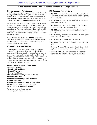#### Crop-specific Information – Dicamba-tolerant (DT) Crops (continued)

#### Postemergence Applications

Up to two postemergence applications using 12.8 fl ozs/A of Engenia® herbicide per application may be made through June 30. Allow at least 7 days between applications. **DO NOT** apply more than a maximum cumulative total of 25.6 fl ozs/A of **Engenia** postemergence.

**Engenia** applications should be made to small (less than 4-inches tall), actively growing weeds. Sequential postemergence applications may be necessary to control new weed flushes. For best results, apply **Engenia** in a herbicide program that includes sequential application of herbicides with a different mechanism of action to control new weed growth.

Postemergence applications of **Engenia** may cause dicamba-tolerant soybeans to wilt or droop shortly after application. Symptomology is transient, and soybeans recover quickly after application.

#### Use with Other Herbicides

Broad-spectrum control of grass weeds or additional broadleaf weeds may require a sequential herbicide application. Before considering the use of one or more of the below recommended herbicides in a tank mix with Engenia, please confirm at www.engeniatankmix.com that the product is on the approved list. **Engenia** may be applied sequentially with one or more of, but not limited to, the following herbicide products:

- Optill® powered by Kixor® herbicide
- Outlook® herbicide
- Prowl® H2O herbicide
- Pursuit® herbicide
- Raptor® herbicide
- Sharpen® powered by Kixor® herbicide
- Varisto® herbicide
- Verdict® powered by Kixor® herbicide
- Zidua® herbicide
- Zidua® PRO powered by Kixor® herbicide
- clethodim (e.g. Select Max® herbicide)
- glyphosate (e.g. Roundup<sup>®</sup> herbicide)

For approved tank mix options see www.engeniatankmix.com.

#### DT Soybean Restrictions

- DO NOT apply Engenia to non-dicamba-tolerant soybean varieties other than as directed or severe soybean injury will occur.
- DO NOT make more than two applications preplant or preemergence per year.
- DO NOT apply more than 12.8 fl ozs/A (0.5 lb ae/A) per preplant or preemergence application.
- DO NOT make more than two applications postemergence per year.
- DO NOT apply more than 12.8 fl ozs/A (0.5 lb ae/A) per postemergence application.
- DO NOT apply Engenia later than June 30.
- **DO NOT** apply more than 51.2 fl ozs/A (2 lbs ae/A) per year.
- Soybean Forage: Allow at least 7 days between final application and harvest or feeding of soybean forage.
- **Soybean Hay:** Allow at least 14 days between final application and harvest or feeding of soybean hay.